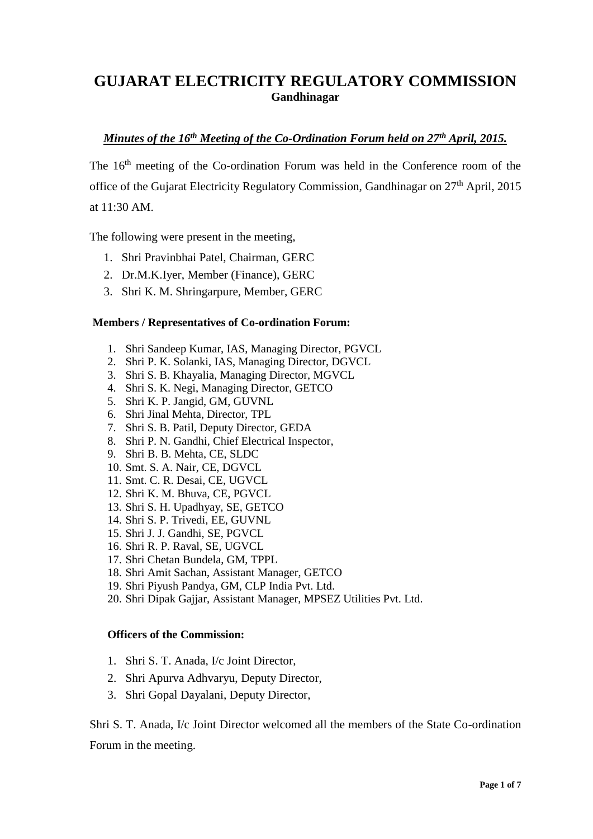## **GUJARAT ELECTRICITY REGULATORY COMMISSION Gandhinagar**

# *Minutes of the 16th Meeting of the Co-Ordination Forum held on 27th April, 2015.*

The 16<sup>th</sup> meeting of the Co-ordination Forum was held in the Conference room of the office of the Gujarat Electricity Regulatory Commission, Gandhinagar on 27<sup>th</sup> April, 2015 at 11:30 AM.

The following were present in the meeting,

- 1. Shri Pravinbhai Patel, Chairman, GERC
- 2. Dr.M.K.Iyer, Member (Finance), GERC
- 3. Shri K. M. Shringarpure, Member, GERC

#### **Members / Representatives of Co-ordination Forum:**

- 1. Shri Sandeep Kumar, IAS, Managing Director, PGVCL
- 2. Shri P. K. Solanki, IAS, Managing Director, DGVCL
- 3. Shri S. B. Khayalia, Managing Director, MGVCL
- 4. Shri S. K. Negi, Managing Director, GETCO
- 5. Shri K. P. Jangid, GM, GUVNL
- 6. Shri Jinal Mehta, Director, TPL
- 7. Shri S. B. Patil, Deputy Director, GEDA
- 8. Shri P. N. Gandhi, Chief Electrical Inspector,
- 9. Shri B. B. Mehta, CE, SLDC
- 10. Smt. S. A. Nair, CE, DGVCL
- 11. Smt. C. R. Desai, CE, UGVCL
- 12. Shri K. M. Bhuva, CE, PGVCL
- 13. Shri S. H. Upadhyay, SE, GETCO
- 14. Shri S. P. Trivedi, EE, GUVNL
- 15. Shri J. J. Gandhi, SE, PGVCL
- 16. Shri R. P. Raval, SE, UGVCL
- 17. Shri Chetan Bundela, GM, TPPL
- 18. Shri Amit Sachan, Assistant Manager, GETCO
- 19. Shri Piyush Pandya, GM, CLP India Pvt. Ltd.
- 20. Shri Dipak Gajjar, Assistant Manager, MPSEZ Utilities Pvt. Ltd.

#### **Officers of the Commission:**

- 1. Shri S. T. Anada, I/c Joint Director,
- 2. Shri Apurva Adhvaryu, Deputy Director,
- 3. Shri Gopal Dayalani, Deputy Director,

Shri S. T. Anada, I/c Joint Director welcomed all the members of the State Co-ordination Forum in the meeting.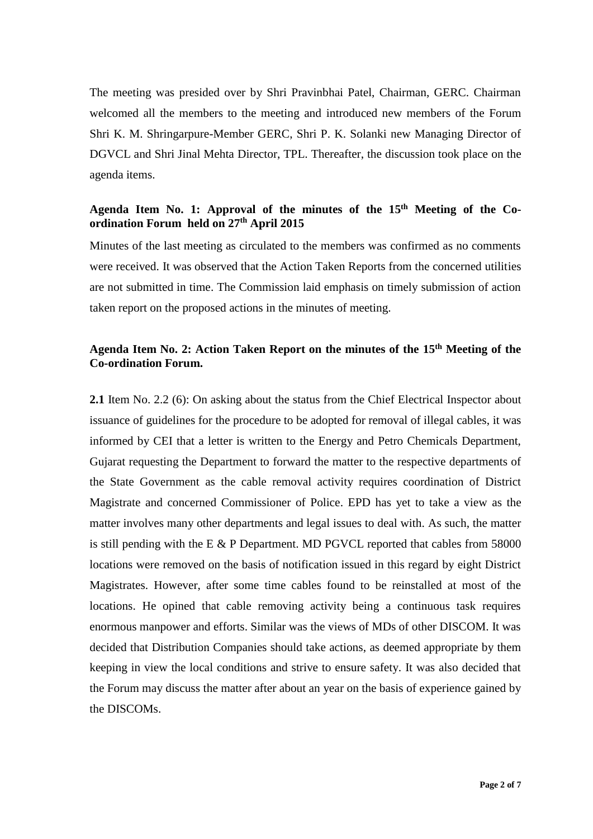The meeting was presided over by Shri Pravinbhai Patel, Chairman, GERC. Chairman welcomed all the members to the meeting and introduced new members of the Forum Shri K. M. Shringarpure-Member GERC, Shri P. K. Solanki new Managing Director of DGVCL and Shri Jinal Mehta Director, TPL. Thereafter, the discussion took place on the agenda items.

### Agenda Item No. 1: Approval of the minutes of the 15<sup>th</sup> Meeting of the Co**ordination Forum held on 27th April 2015**

Minutes of the last meeting as circulated to the members was confirmed as no comments were received. It was observed that the Action Taken Reports from the concerned utilities are not submitted in time. The Commission laid emphasis on timely submission of action taken report on the proposed actions in the minutes of meeting.

### Agenda Item No. 2: Action Taken Report on the minutes of the 15<sup>th</sup> Meeting of the **Co-ordination Forum.**

**2.1** Item No. 2.2 (6): On asking about the status from the Chief Electrical Inspector about issuance of guidelines for the procedure to be adopted for removal of illegal cables, it was informed by CEI that a letter is written to the Energy and Petro Chemicals Department, Gujarat requesting the Department to forward the matter to the respective departments of the State Government as the cable removal activity requires coordination of District Magistrate and concerned Commissioner of Police. EPD has yet to take a view as the matter involves many other departments and legal issues to deal with. As such, the matter is still pending with the E  $\&$  P Department. MD PGVCL reported that cables from 58000 locations were removed on the basis of notification issued in this regard by eight District Magistrates. However, after some time cables found to be reinstalled at most of the locations. He opined that cable removing activity being a continuous task requires enormous manpower and efforts. Similar was the views of MDs of other DISCOM. It was decided that Distribution Companies should take actions, as deemed appropriate by them keeping in view the local conditions and strive to ensure safety. It was also decided that the Forum may discuss the matter after about an year on the basis of experience gained by the DISCOMs.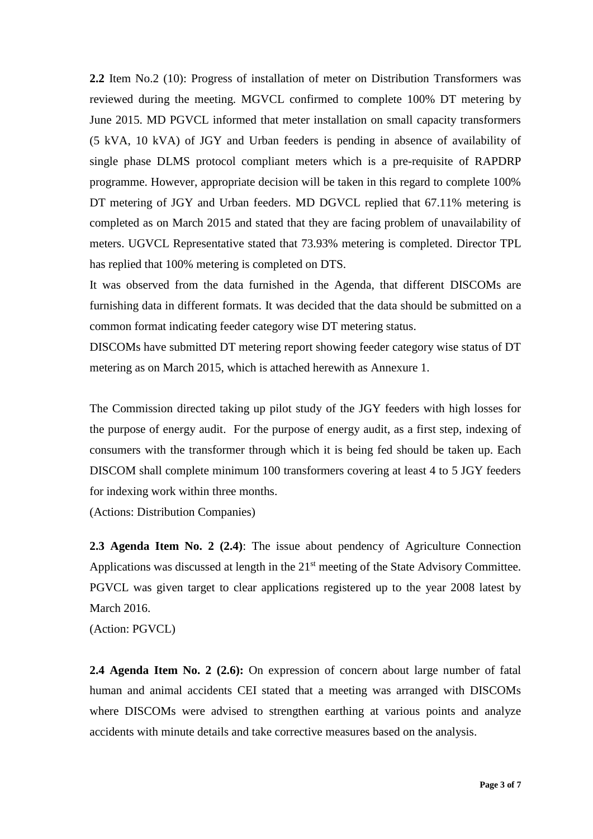**2.2** Item No.2 (10): Progress of installation of meter on Distribution Transformers was reviewed during the meeting. MGVCL confirmed to complete 100% DT metering by June 2015. MD PGVCL informed that meter installation on small capacity transformers (5 kVA, 10 kVA) of JGY and Urban feeders is pending in absence of availability of single phase DLMS protocol compliant meters which is a pre-requisite of RAPDRP programme. However, appropriate decision will be taken in this regard to complete 100% DT metering of JGY and Urban feeders. MD DGVCL replied that 67.11% metering is completed as on March 2015 and stated that they are facing problem of unavailability of meters. UGVCL Representative stated that 73.93% metering is completed. Director TPL has replied that 100% metering is completed on DTS.

It was observed from the data furnished in the Agenda, that different DISCOMs are furnishing data in different formats. It was decided that the data should be submitted on a common format indicating feeder category wise DT metering status.

DISCOMs have submitted DT metering report showing feeder category wise status of DT metering as on March 2015, which is attached herewith as Annexure 1.

The Commission directed taking up pilot study of the JGY feeders with high losses for the purpose of energy audit. For the purpose of energy audit, as a first step, indexing of consumers with the transformer through which it is being fed should be taken up. Each DISCOM shall complete minimum 100 transformers covering at least 4 to 5 JGY feeders for indexing work within three months.

(Actions: Distribution Companies)

**2.3 Agenda Item No. 2 (2.4)**: The issue about pendency of Agriculture Connection Applications was discussed at length in the 21<sup>st</sup> meeting of the State Advisory Committee. PGVCL was given target to clear applications registered up to the year 2008 latest by March 2016.

(Action: PGVCL)

**2.4 Agenda Item No. 2 (2.6):** On expression of concern about large number of fatal human and animal accidents CEI stated that a meeting was arranged with DISCOMs where DISCOMs were advised to strengthen earthing at various points and analyze accidents with minute details and take corrective measures based on the analysis.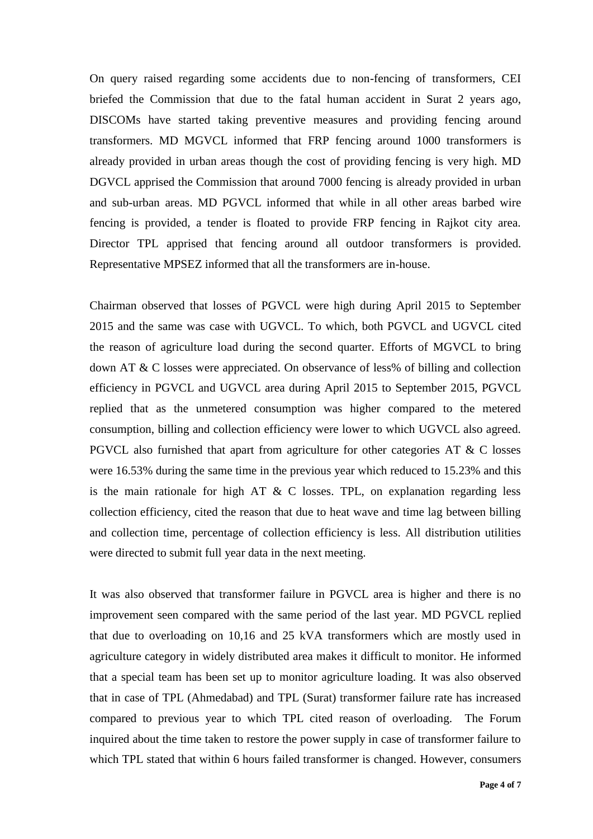On query raised regarding some accidents due to non-fencing of transformers, CEI briefed the Commission that due to the fatal human accident in Surat 2 years ago, DISCOMs have started taking preventive measures and providing fencing around transformers. MD MGVCL informed that FRP fencing around 1000 transformers is already provided in urban areas though the cost of providing fencing is very high. MD DGVCL apprised the Commission that around 7000 fencing is already provided in urban and sub-urban areas. MD PGVCL informed that while in all other areas barbed wire fencing is provided, a tender is floated to provide FRP fencing in Rajkot city area. Director TPL apprised that fencing around all outdoor transformers is provided. Representative MPSEZ informed that all the transformers are in-house.

Chairman observed that losses of PGVCL were high during April 2015 to September 2015 and the same was case with UGVCL. To which, both PGVCL and UGVCL cited the reason of agriculture load during the second quarter. Efforts of MGVCL to bring down AT & C losses were appreciated. On observance of less% of billing and collection efficiency in PGVCL and UGVCL area during April 2015 to September 2015, PGVCL replied that as the unmetered consumption was higher compared to the metered consumption, billing and collection efficiency were lower to which UGVCL also agreed. PGVCL also furnished that apart from agriculture for other categories AT & C losses were 16.53% during the same time in the previous year which reduced to 15.23% and this is the main rationale for high AT  $\& C$  losses. TPL, on explanation regarding less collection efficiency, cited the reason that due to heat wave and time lag between billing and collection time, percentage of collection efficiency is less. All distribution utilities were directed to submit full year data in the next meeting.

It was also observed that transformer failure in PGVCL area is higher and there is no improvement seen compared with the same period of the last year. MD PGVCL replied that due to overloading on 10,16 and 25 kVA transformers which are mostly used in agriculture category in widely distributed area makes it difficult to monitor. He informed that a special team has been set up to monitor agriculture loading. It was also observed that in case of TPL (Ahmedabad) and TPL (Surat) transformer failure rate has increased compared to previous year to which TPL cited reason of overloading. The Forum inquired about the time taken to restore the power supply in case of transformer failure to which TPL stated that within 6 hours failed transformer is changed. However, consumers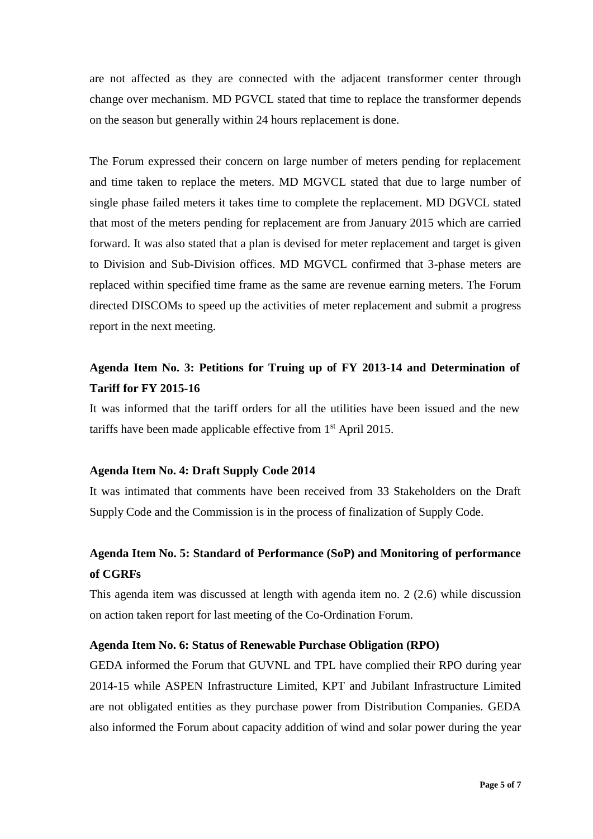are not affected as they are connected with the adjacent transformer center through change over mechanism. MD PGVCL stated that time to replace the transformer depends on the season but generally within 24 hours replacement is done.

The Forum expressed their concern on large number of meters pending for replacement and time taken to replace the meters. MD MGVCL stated that due to large number of single phase failed meters it takes time to complete the replacement. MD DGVCL stated that most of the meters pending for replacement are from January 2015 which are carried forward. It was also stated that a plan is devised for meter replacement and target is given to Division and Sub-Division offices. MD MGVCL confirmed that 3-phase meters are replaced within specified time frame as the same are revenue earning meters. The Forum directed DISCOMs to speed up the activities of meter replacement and submit a progress report in the next meeting.

## **Agenda Item No. 3: Petitions for Truing up of FY 2013-14 and Determination of Tariff for FY 2015-16**

It was informed that the tariff orders for all the utilities have been issued and the new tariffs have been made applicable effective from 1st April 2015.

#### **Agenda Item No. 4: Draft Supply Code 2014**

It was intimated that comments have been received from 33 Stakeholders on the Draft Supply Code and the Commission is in the process of finalization of Supply Code.

# **Agenda Item No. 5: Standard of Performance (SoP) and Monitoring of performance of CGRFs**

This agenda item was discussed at length with agenda item no. 2 (2.6) while discussion on action taken report for last meeting of the Co-Ordination Forum.

#### **Agenda Item No. 6: Status of Renewable Purchase Obligation (RPO)**

GEDA informed the Forum that GUVNL and TPL have complied their RPO during year 2014-15 while ASPEN Infrastructure Limited, KPT and Jubilant Infrastructure Limited are not obligated entities as they purchase power from Distribution Companies. GEDA also informed the Forum about capacity addition of wind and solar power during the year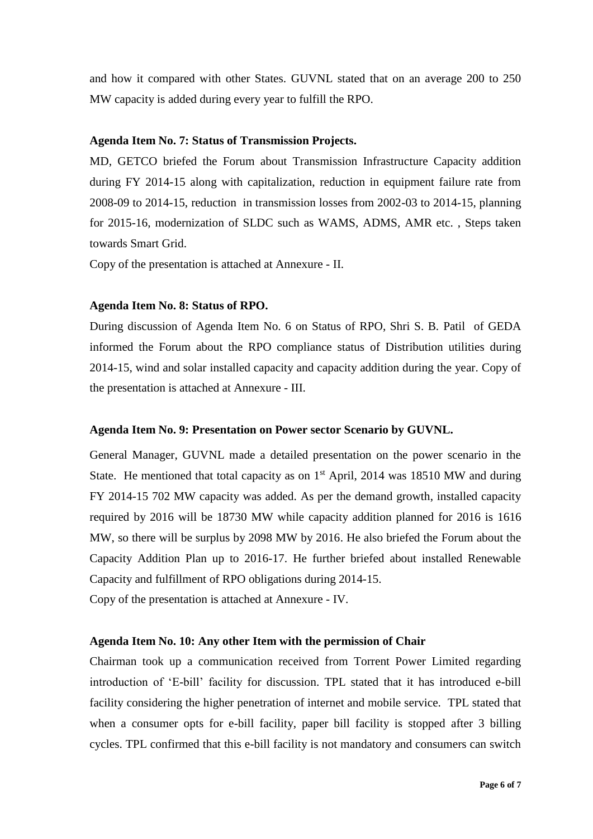and how it compared with other States. GUVNL stated that on an average 200 to 250 MW capacity is added during every year to fulfill the RPO.

#### **Agenda Item No. 7: Status of Transmission Projects.**

MD, GETCO briefed the Forum about Transmission Infrastructure Capacity addition during FY 2014-15 along with capitalization, reduction in equipment failure rate from 2008-09 to 2014-15, reduction in transmission losses from 2002-03 to 2014-15, planning for 2015-16, modernization of SLDC such as WAMS, ADMS, AMR etc. , Steps taken towards Smart Grid.

Copy of the presentation is attached at Annexure - II.

#### **Agenda Item No. 8: Status of RPO.**

During discussion of Agenda Item No. 6 on Status of RPO, Shri S. B. Patil of GEDA informed the Forum about the RPO compliance status of Distribution utilities during 2014-15, wind and solar installed capacity and capacity addition during the year. Copy of the presentation is attached at Annexure - III.

#### **Agenda Item No. 9: Presentation on Power sector Scenario by GUVNL.**

General Manager, GUVNL made a detailed presentation on the power scenario in the State. He mentioned that total capacity as on  $1<sup>st</sup>$  April, 2014 was 18510 MW and during FY 2014-15 702 MW capacity was added. As per the demand growth, installed capacity required by 2016 will be 18730 MW while capacity addition planned for 2016 is 1616 MW, so there will be surplus by 2098 MW by 2016. He also briefed the Forum about the Capacity Addition Plan up to 2016-17. He further briefed about installed Renewable Capacity and fulfillment of RPO obligations during 2014-15.

Copy of the presentation is attached at Annexure - IV.

#### **Agenda Item No. 10: Any other Item with the permission of Chair**

Chairman took up a communication received from Torrent Power Limited regarding introduction of 'E-bill' facility for discussion. TPL stated that it has introduced e-bill facility considering the higher penetration of internet and mobile service. TPL stated that when a consumer opts for e-bill facility, paper bill facility is stopped after 3 billing cycles. TPL confirmed that this e-bill facility is not mandatory and consumers can switch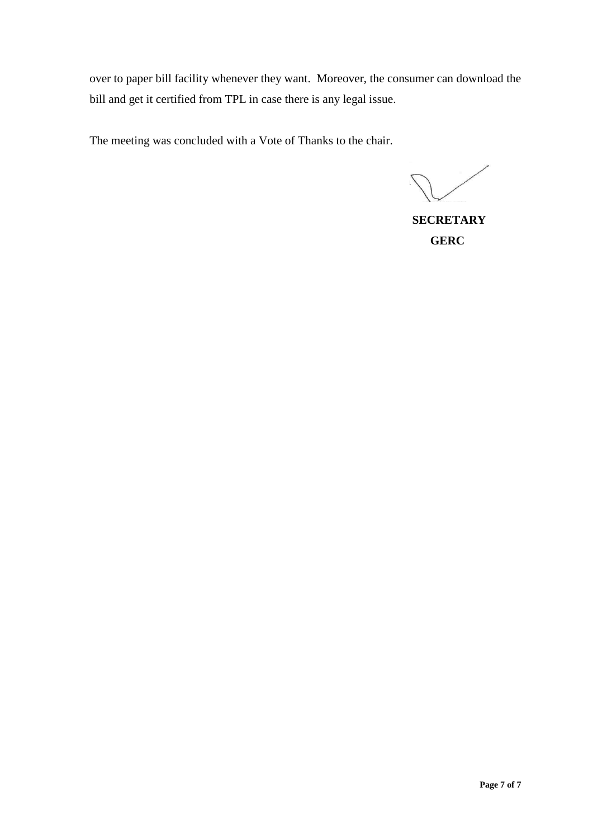over to paper bill facility whenever they want. Moreover, the consumer can download the bill and get it certified from TPL in case there is any legal issue.

The meeting was concluded with a Vote of Thanks to the chair.

**SECRETARY GERC**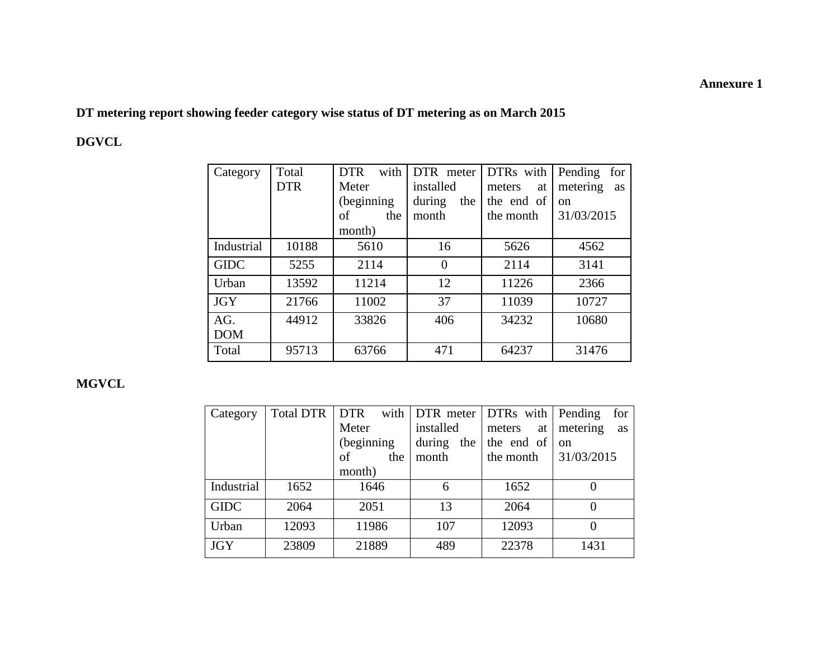## **Annexure 1**

**DT metering report showing feeder category wise status of DT metering as on March 2015**

# **DGVCL**

| Category    | Total      | <b>DTR</b><br>with | DTR meter      | DTRs with    | Pending<br>for |
|-------------|------------|--------------------|----------------|--------------|----------------|
|             | <b>DTR</b> | Meter              | installed      | meters<br>at | metering<br>as |
|             |            | (beginning)        | during<br>the  | the end of   | <sub>on</sub>  |
|             |            | οf<br>the          | month          | the month    | 31/03/2015     |
|             |            | month)             |                |              |                |
| Industrial  | 10188      | 5610               | 16             | 5626         | 4562           |
| <b>GIDC</b> | 5255       | 2114               | $\overline{0}$ | 2114         | 3141           |
| Urban       | 13592      | 11214              | 12             | 11226        | 2366           |
| <b>JGY</b>  | 21766      | 11002              | 37             | 11039        | 10727          |
| AG.         | 44912      | 33826              | 406            | 34232        | 10680          |
| <b>DOM</b>  |            |                    |                |              |                |
| Total       | 95713      | 63766              | 471            | 64237        | 31476          |

## **MGVCL**

| Category    | <b>Total DTR</b> | <b>DTR</b>  |               | with   DTR meter   DTRs with   Pending | for            |
|-------------|------------------|-------------|---------------|----------------------------------------|----------------|
|             |                  | Meter       | installed     | meters<br>at                           | metering<br>as |
|             |                  | (beginning) | during<br>the | the end of                             | on             |
|             |                  | of<br>the   | month         | the month                              | 31/03/2015     |
|             |                  | month)      |               |                                        |                |
| Industrial  | 1652             | 1646        | 6             | 1652                                   |                |
| <b>GIDC</b> | 2064             | 2051        | 13            | 2064                                   | $\theta$       |
| Urban       | 12093            | 11986       | 107           | 12093                                  | $\Omega$       |
| <b>JGY</b>  | 23809            | 21889       | 489           | 22378                                  | 1431           |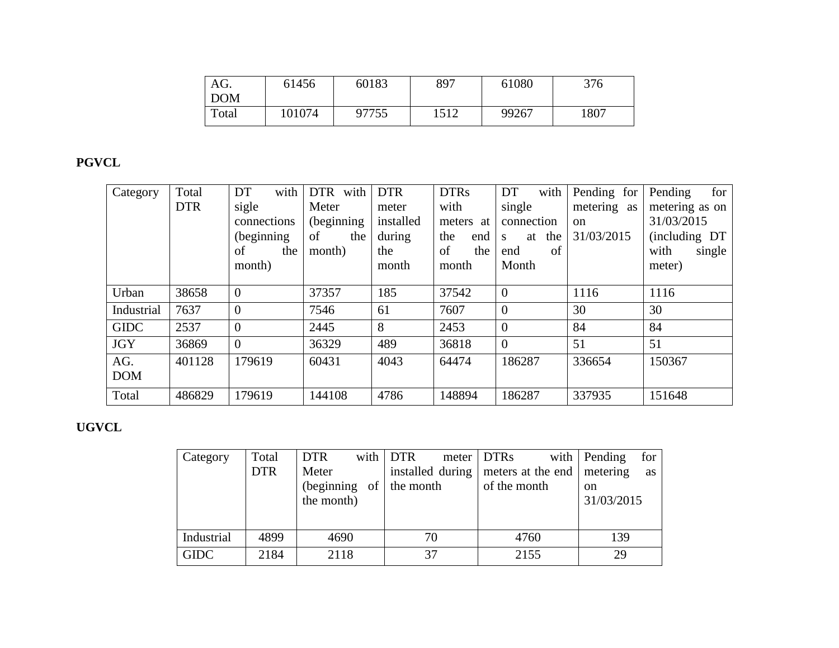| AG.        | 61456  | 60183 | 897  | 61080 | 376  |
|------------|--------|-------|------|-------|------|
| <b>DOM</b> |        |       |      |       |      |
| Total      | 101074 | 97755 | 1512 | 99267 | 1807 |

# **PGVCL**

| Category    | Total      | DT<br>with  | DTR with    | <b>DTR</b> | <b>DTRs</b> | DT<br>with                | Pending for   | for<br>Pending |
|-------------|------------|-------------|-------------|------------|-------------|---------------------------|---------------|----------------|
|             | <b>DTR</b> | sigle       | Meter       | meter      | with        | single                    | metering as   | metering as on |
|             |            | connections | (beginning) | installed  | meters at   | connection                | <sub>on</sub> | 31/03/2015     |
|             |            | (beginning) | of<br>the   | during     | the<br>end  | the<br>at<br><sub>S</sub> | 31/03/2015    | (including DT) |
|             |            | the<br>of   | month)      | the        | of<br>the   | of<br>end                 |               | with<br>single |
|             |            | month)      |             | month      | month       | Month                     |               | meter)         |
|             |            |             |             |            |             |                           |               |                |
| Urban       | 38658      | $\theta$    | 37357       | 185        | 37542       | $\theta$                  | 1116          | 1116           |
| Industrial  | 7637       | $\theta$    | 7546        | 61         | 7607        | $\overline{0}$            | 30            | 30             |
| <b>GIDC</b> | 2537       | $\Omega$    | 2445        | 8          | 2453        | $\theta$                  | 84            | 84             |
| <b>JGY</b>  | 36869      | $\Omega$    | 36329       | 489        | 36818       | $\theta$                  | 51            | 51             |
| AG.         | 401128     | 179619      | 60431       | 4043       | 64474       | 186287                    | 336654        | 150367         |
| <b>DOM</b>  |            |             |             |            |             |                           |               |                |
| Total       | 486829     | 179619      | 144108      | 4786       | 148894      | 186287                    | 337935        | 151648         |

# **UGVCL**

| Category    | Total      | <b>DTR</b>        | with $DTR$ | meter DTRs                           | for<br>with $\vert$ Pending |
|-------------|------------|-------------------|------------|--------------------------------------|-----------------------------|
|             | <b>DTR</b> | Meter             |            | installed during   meters at the end | metering<br>as              |
|             |            | (beginning)<br>of | the month  | of the month                         | <sub>on</sub>               |
|             |            | the month)        |            |                                      | 31/03/2015                  |
|             |            |                   |            |                                      |                             |
| Industrial  | 4899       | 4690              | 70         | 4760                                 | 139                         |
| <b>GIDC</b> | 2184       | 2118              | 37         | 2155                                 | 29                          |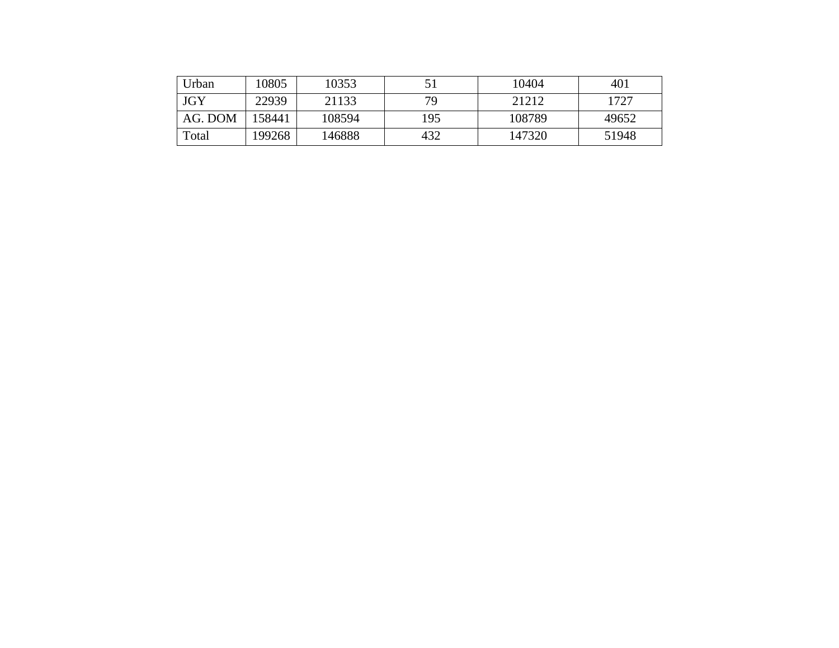| Urban      | 10805  | 10353  |     | 10404  | 401   |
|------------|--------|--------|-----|--------|-------|
| <b>JGY</b> | 22939  | 21133  | 79  | 21212  | 1727  |
| AG. DOM    | 158441 | 108594 | 195 | 108789 | 49652 |
| Total      | 199268 | 146888 | 432 | 147320 | 51948 |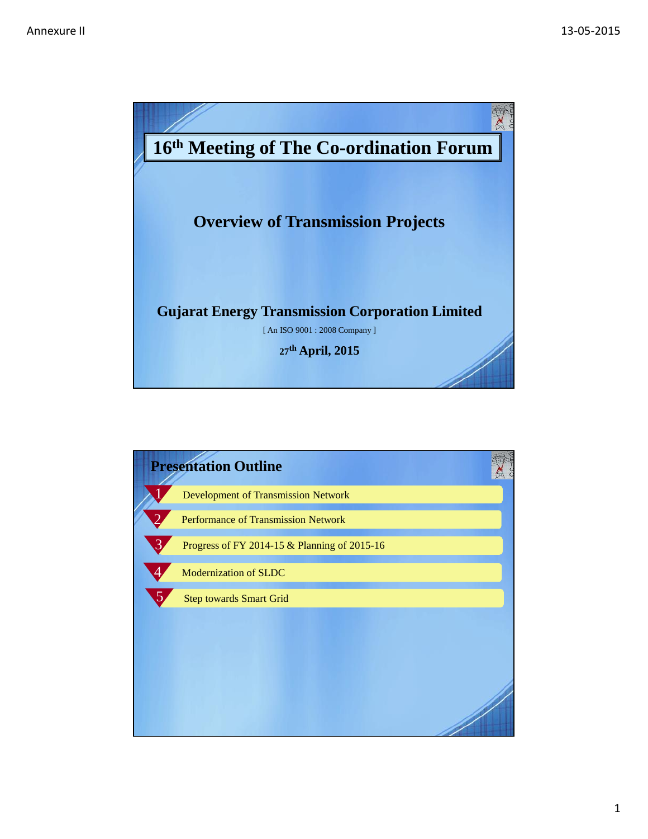

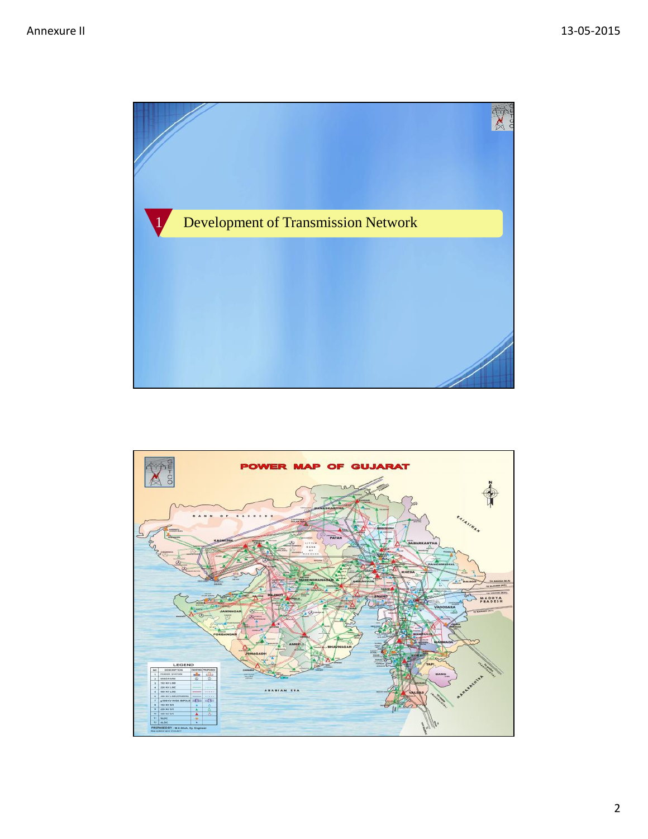

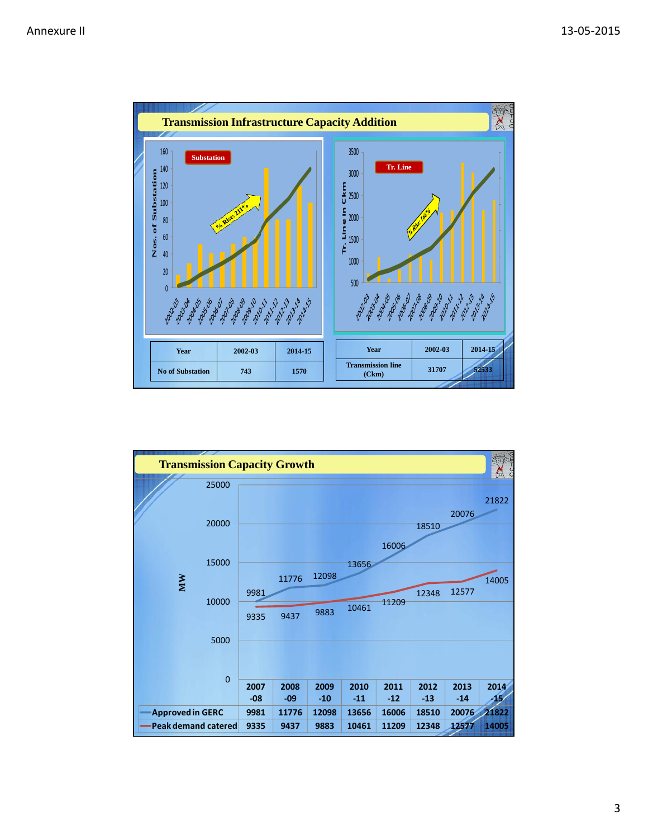

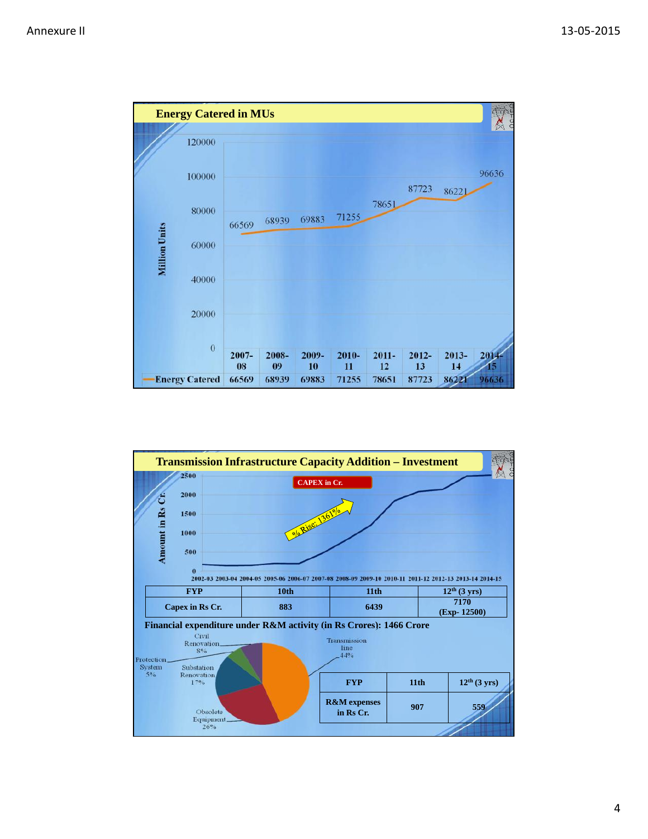

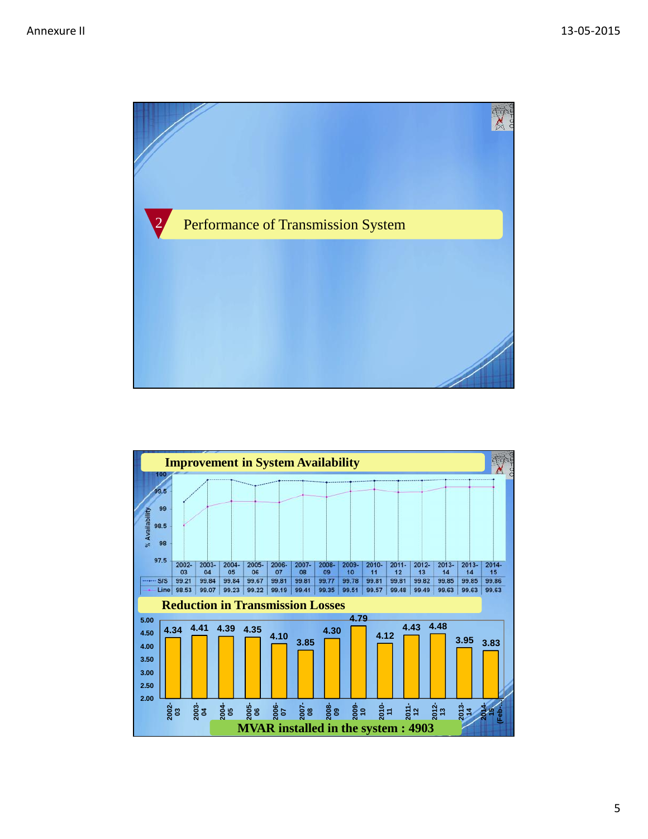

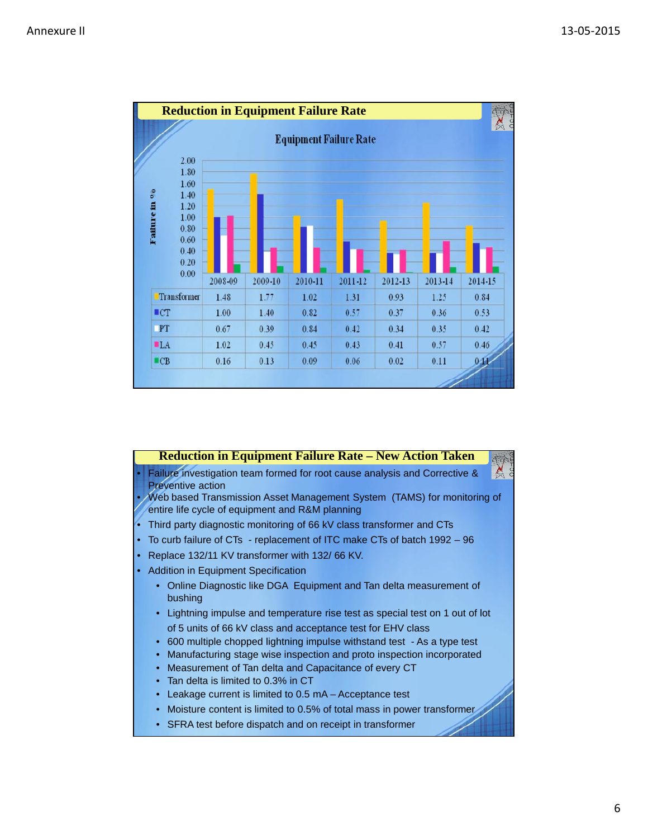

|    | <b>Reduction in Equipment Failure Rate - New Action Taken</b>                                                                  |
|----|--------------------------------------------------------------------------------------------------------------------------------|
| 51 | Failure investigation team formed for root cause analysis and Corrective &<br><b>Preventive action</b>                         |
|    | • / Web based Transmission Asset Management System (TAMS) for monitoring of<br>entire life cycle of equipment and R&M planning |
|    | • Third party diagnostic monitoring of 66 kV class transformer and CTs                                                         |
|    | • To curb failure of CTs - replacement of ITC make CTs of batch 1992 - 96                                                      |
|    | • Replace 132/11 KV transformer with 132/66 KV.                                                                                |
|    | • Addition in Equipment Specification                                                                                          |
|    | • Online Diagnostic like DGA Equipment and Tan delta measurement of<br>bushing                                                 |
|    | • Lightning impulse and temperature rise test as special test on 1 out of lot                                                  |
|    | of 5 units of 66 kV class and acceptance test for EHV class                                                                    |
|    | 600 multiple chopped lightning impulse withstand test - As a type test<br>$\bullet$                                            |
|    | Manufacturing stage wise inspection and proto inspection incorporated                                                          |
|    | Measurement of Tan delta and Capacitance of every CT<br>$\bullet$                                                              |
|    | Tan delta is limited to 0.3% in CT                                                                                             |
|    | Leakage current is limited to 0.5 mA – Acceptance test                                                                         |
|    | Moisture content is limited to 0.5% of total mass in power transformer                                                         |

• SFRA test before dispatch and on receipt in transformer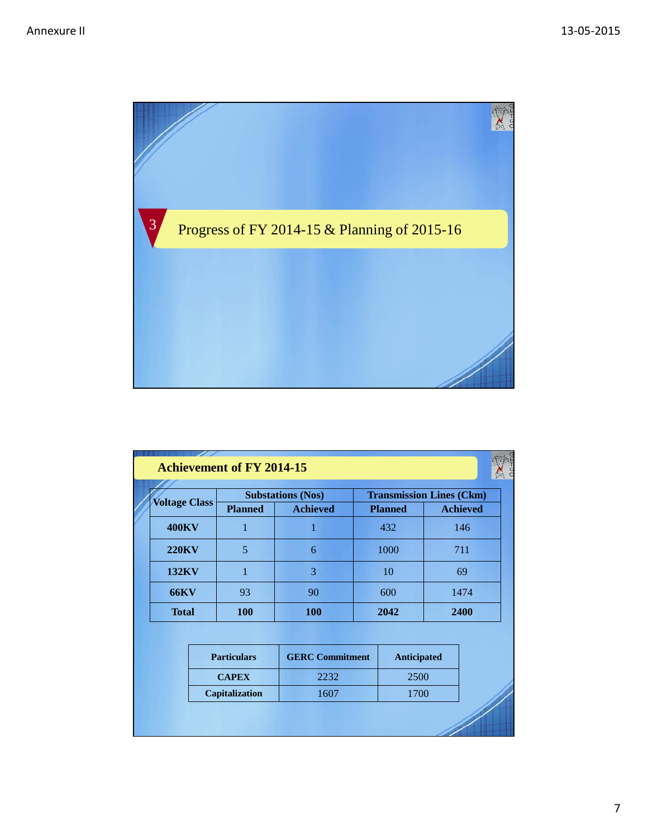

| <b>Voltage Class</b> |  |                    | <b>Substations (Nos)</b> |      | <b>Transmission Lines (Ckm)</b> |                 |  |
|----------------------|--|--------------------|--------------------------|------|---------------------------------|-----------------|--|
|                      |  | <b>Planned</b>     | <b>Achieved</b>          |      | <b>Planned</b>                  | <b>Achieved</b> |  |
| <b>400KV</b>         |  | 1                  | 1                        |      | 432                             | 146             |  |
| <b>220KV</b>         |  | $\overline{5}$     | 6                        |      | 1000                            | 711             |  |
| <b>132KV</b>         |  | $\mathbf{1}$       | 3                        |      | 10                              | 69              |  |
| <b>66KV</b>          |  | 93                 | 90                       |      | 600                             | 1474            |  |
| <b>Total</b>         |  | <b>100</b>         | <b>100</b>               |      | 2042                            | 2400            |  |
|                      |  |                    |                          |      |                                 |                 |  |
|                      |  | <b>Particulars</b> | <b>GERC</b> Commitment   |      | <b>Anticipated</b>              |                 |  |
|                      |  | <b>CAPEX</b>       | 2232                     | 2500 |                                 |                 |  |
| Capitalization       |  | 1607               |                          | 1700 |                                 |                 |  |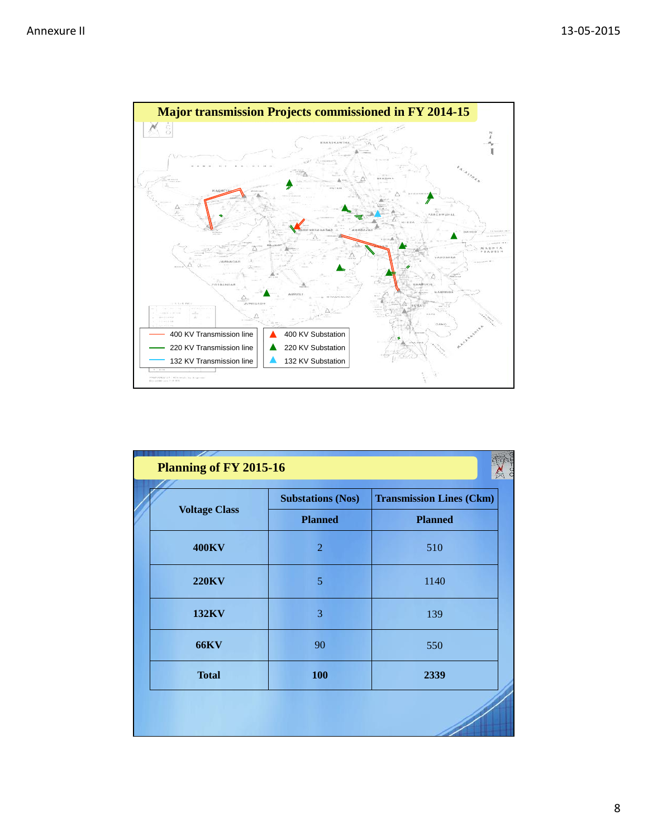

| <b>Voltage Class</b> | <b>Substations (Nos)</b> | <b>Transmission Lines (Ckm)</b> |
|----------------------|--------------------------|---------------------------------|
|                      | <b>Planned</b>           | <b>Planned</b>                  |
| <b>400KV</b>         | $\overline{2}$           | 510                             |
| <b>220KV</b>         | 5                        | 1140                            |
| <b>132KV</b>         | 3                        | 139                             |
| <b>66KV</b>          | 90                       | 550                             |
| <b>Total</b>         | 100                      | 2339                            |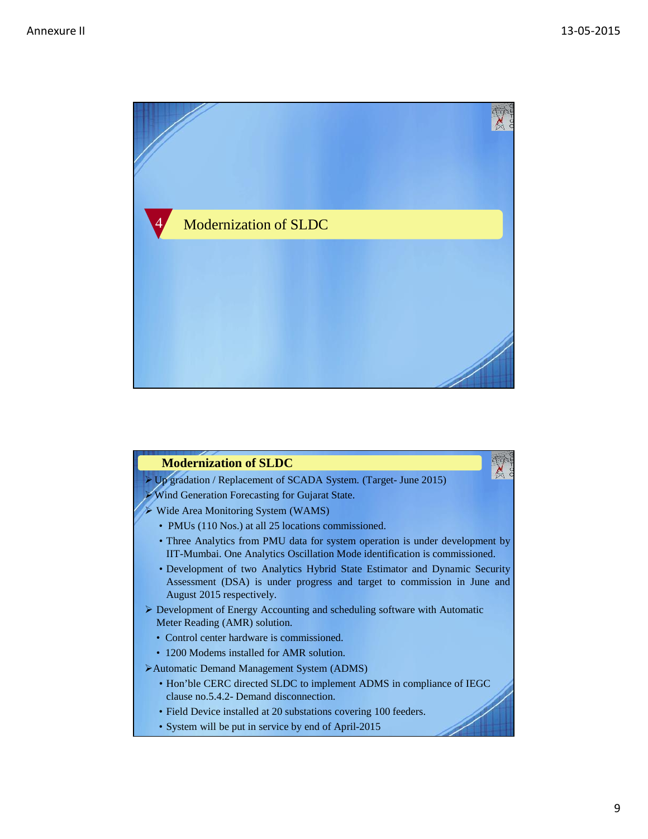

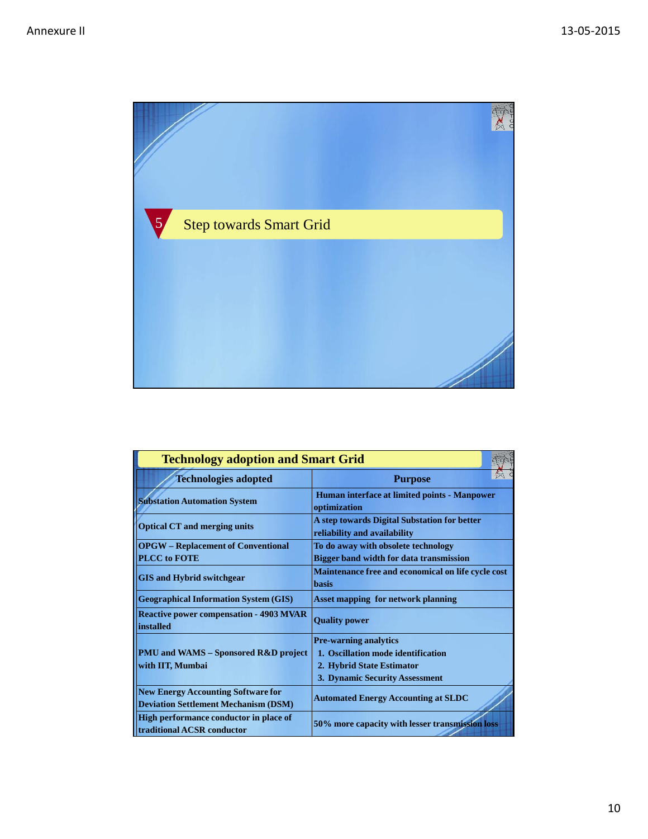

| <b>Technology adoption and Smart Grid</b>                                                |                                                                              |  |  |  |
|------------------------------------------------------------------------------------------|------------------------------------------------------------------------------|--|--|--|
| <b>Technologies adopted</b>                                                              | <b>Purpose</b>                                                               |  |  |  |
| <b>Substation Automation System</b>                                                      | Human interface at limited points - Manpower<br>optimization                 |  |  |  |
| <b>Optical CT and merging units</b>                                                      | A step towards Digital Substation for better<br>reliability and availability |  |  |  |
| <b>OPGW</b> – Replacement of Conventional                                                | To do away with obsolete technology                                          |  |  |  |
| <b>PLCC</b> to FOTE                                                                      | <b>Bigger band width for data transmission</b>                               |  |  |  |
|                                                                                          | Maintenance free and economical on life cycle cost                           |  |  |  |
| <b>GIS and Hybrid switchgear</b>                                                         | <b>basis</b>                                                                 |  |  |  |
| <b>Geographical Information System (GIS)</b>                                             | <b>Asset mapping for network planning</b>                                    |  |  |  |
| <b>Reactive power compensation - 4903 MVAR</b><br>installed                              | <b>Quality power</b>                                                         |  |  |  |
|                                                                                          | <b>Pre-warning analytics</b>                                                 |  |  |  |
| <b>PMU and WAMS – Sponsored R&amp;D project</b>                                          | 1. Oscillation mode identification                                           |  |  |  |
| with IIT, Mumbai                                                                         | 2. Hybrid State Estimator                                                    |  |  |  |
|                                                                                          | 3. Dynamic Security Assessment                                               |  |  |  |
| <b>New Energy Accounting Software for</b><br><b>Deviation Settlement Mechanism (DSM)</b> | <b>Automated Energy Accounting at SLDC</b>                                   |  |  |  |
| <b>High performance conductor in place of</b><br>traditional ACSR conductor              | 50% more capacity with lesser transmission loss                              |  |  |  |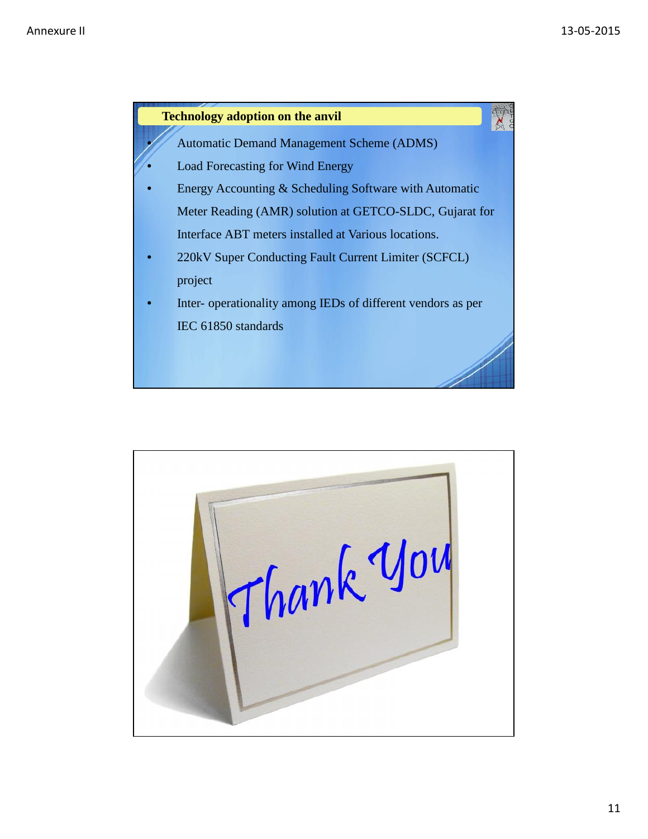

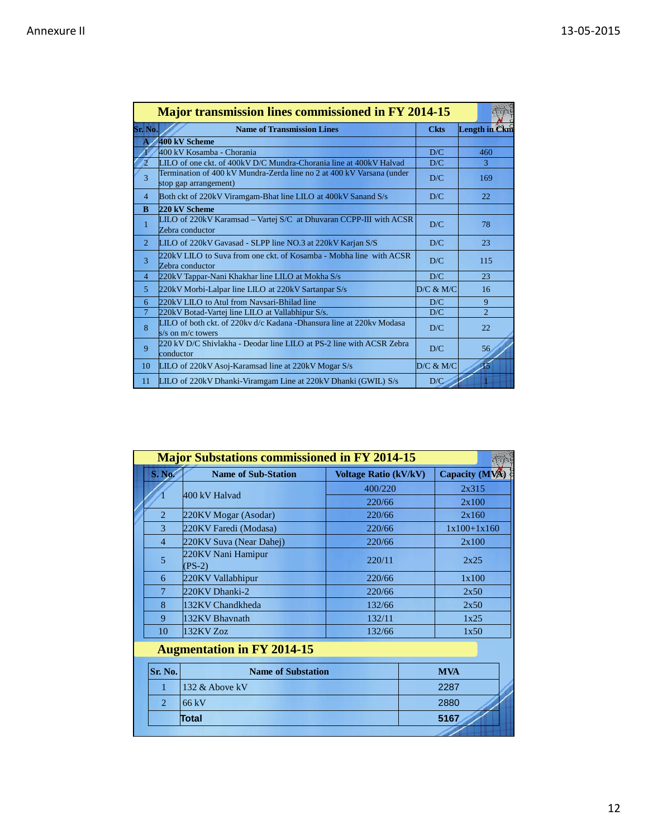|                          | <b>Major transmission lines commissioned in FY 2014-15</b>                                     |             |                      |
|--------------------------|------------------------------------------------------------------------------------------------|-------------|----------------------|
| Sr. No.                  | <b>Name of Transmission Lines</b>                                                              | <b>Ckts</b> | <b>Length in Ckm</b> |
|                          | 400 kV Scheme                                                                                  |             |                      |
|                          | 400 kV Kosamba - Chorania                                                                      | D/C         | 460                  |
| $\overline{\mathcal{L}}$ | LILO of one ckt. of 400kV D/C Mundra-Chorania line at 400kV Halvad                             | D/C         | 3                    |
| 3                        | Termination of 400 kV Mundra-Zerda line no 2 at 400 kV Varsana (under<br>stop gap arrangement) | D/C         | 169                  |
| $\overline{4}$           | Both ckt of 220kV Viramgam-Bhat line LILO at 400kV Sanand S/s                                  | D/C         | 22                   |
| B                        | 220 kV Scheme                                                                                  |             |                      |
| $\mathbf{1}$             | LILO of 220kV Karamsad - Vartej S/C at Dhuvaran CCPP-III with ACSR<br>Zebra conductor          | D/C         | 78                   |
| $\overline{2}$           | LILO of 220kV Gavasad - SLPP line NO.3 at 220kV Karjan S/S                                     | D/C         | 23                   |
| 3                        | 220kV LILO to Suva from one ckt. of Kosamba - Mobha line with ACSR<br>Zebra conductor          | D/C         | 115                  |
| $\overline{4}$           | 220kV Tappar-Nani Khakhar line LILO at Mokha S/s                                               | D/C         | 23                   |
| 5                        | 220kV Morbi-Lalpar line LILO at 220kV Sartanpar S/s                                            | D/C & M/C   | 16                   |
| 6                        | 220kV LILO to Atul from Navsari-Bhilad line                                                    | D/C         | 9                    |
| $\overline{7}$           | 220kV Botad-Vartej line LILO at Vallabhipur S/s.                                               | D/C         | $\overline{2}$       |
| 8                        | LILO of both ckt. of 220kv d/c Kadana -Dhansura line at 220kv Modasa<br>s/s on $m/c$ towers    | D/C         | 22                   |
| 9                        | 220 kV D/C Shivlakha - Deodar line LILO at PS-2 line with ACSR Zebra<br>conductor              | D/C         | 56                   |
| 10                       | LILO of 220kV Asoj-Karamsad line at 220kV Mogar S/s                                            | D/C & M/C   | 15                   |
| 11                       | LILO of 220kV Dhanki-Viramgam Line at 220kV Dhanki (GWIL) S/s                                  | D/C         |                      |

|                             | <b>Major Substations commissioned in FY 2014-15</b> |                              |                |
|-----------------------------|-----------------------------------------------------|------------------------------|----------------|
| S. No.                      | <b>Name of Sub-Station</b>                          | <b>Voltage Ratio (kV/kV)</b> | Capacity (MVA) |
|                             | 400 kV Halvad                                       | 400/220                      | 2x315          |
|                             |                                                     | 220/66                       | 2x100          |
| $\overline{2}$              | 220KV Mogar (Asodar)                                | 220/66                       | 2x160          |
| 3                           | 220KV Faredi (Modasa)                               | 220/66                       | $1x100+1x160$  |
| $\overline{4}$              | 220KV Suva (Near Dahej)                             | 220/66                       | 2x100          |
| 5                           | 220KV Nani Hamipur<br>$(PS-2)$                      | 220/11                       | 2x25           |
| 6                           | 220KV Vallabhipur                                   | 220/66                       | 1x100          |
| 7                           | 220KV Dhanki-2                                      | 220/66                       | 2x50           |
| 8                           | 132KV Chandkheda                                    | 132/66                       | 2x50           |
| 9                           | 132KV Bhaynath                                      | 132/11                       | 1x25           |
| 10                          | 132KV Zoz                                           | 132/66                       | 1x50           |
|                             | <b>Augmentation in FY 2014-15</b>                   |                              |                |
| Sr. No.                     | <b>Name of Substation</b>                           |                              | <b>MVA</b>     |
| 1                           | 132 & Above kV                                      |                              | 2287           |
| $\mathcal{D}_{\mathcal{L}}$ | 66kV                                                |                              | 2880           |
|                             | Total                                               |                              | 5167           |
|                             |                                                     |                              |                |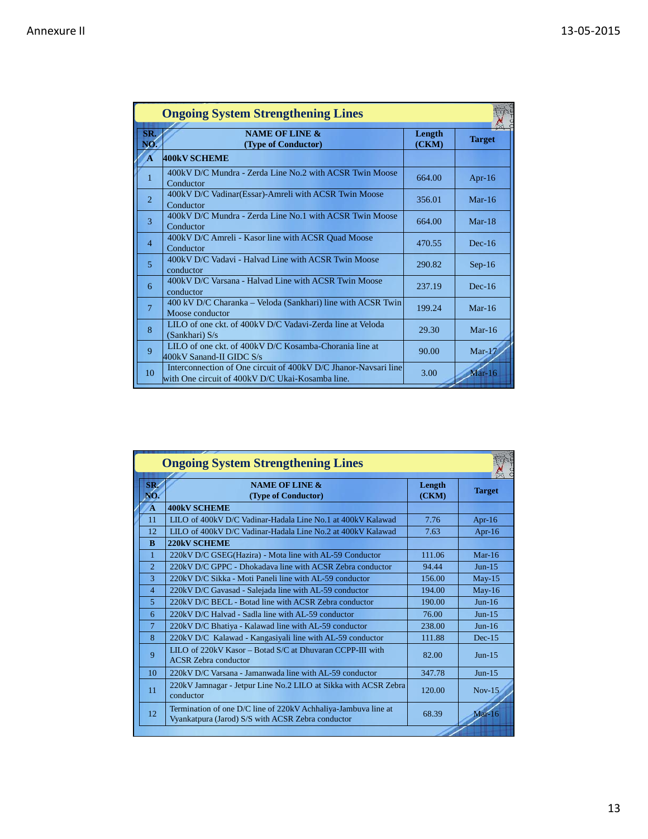|                | <b>Ongoing System Strengthening Lines</b>                                                                           |                 |               |
|----------------|---------------------------------------------------------------------------------------------------------------------|-----------------|---------------|
| <b>SR</b>      | <b>NAME OF LINE &amp;</b><br>(Type of Conductor)                                                                    | Length<br>(CKM) | <b>Target</b> |
|                | <b>400kV SCHEME</b>                                                                                                 |                 |               |
|                | 400kV D/C Mundra - Zerda Line No.2 with ACSR Twin Moose<br>Conductor                                                | 664.00          | Apr- $16$     |
| $\overline{2}$ | 400kV D/C Vadinar (Essar)-Amreli with ACSR Twin Moose<br>Conductor                                                  | 356.01          | Mar- $16$     |
| 3              | 400kV D/C Mundra - Zerda Line No.1 with ACSR Twin Moose<br>Conductor                                                | 664.00          | $Mar-18$      |
| $\overline{4}$ | 400kV D/C Amreli - Kasor line with ACSR Quad Moose<br>Conductor                                                     | 470.55          | $Dec-16$      |
| 5              | 400kV D/C Vadavi - Halvad Line with ACSR Twin Moose<br>conductor                                                    | 290.82          | $Sep-16$      |
| 6              | 400kV D/C Varsana - Halvad Line with ACSR Twin Moose<br>conductor                                                   | 237.19          | $Dec-16$      |
| 7              | 400 kV D/C Charanka - Veloda (Sankhari) line with ACSR Twin<br>Moose conductor                                      | 199.24          | $Mar-16$      |
| 8              | LILO of one ckt. of 400kV D/C Vadavi-Zerda line at Veloda<br>(Sankhari) S/s                                         | 29.30           | Mar- $16$     |
| 9              | LILO of one ckt. of 400kV D/C Kosamba-Chorania line at<br>400kV Sanand-II GIDC S/s                                  | 90.00           | $Mar-17$      |
| 10             | Interconnection of One circuit of 400kV D/C Jhanor-Navsari line<br>with One circuit of 400kV D/C Ukai-Kosamba line. | 3.00            | $Mar-16$      |

|                | <b>Ongoing System Strengthening Lines</b>                                                                           |                 |               |
|----------------|---------------------------------------------------------------------------------------------------------------------|-----------------|---------------|
| SR.<br>VО.     | <b>NAME OF LINE &amp;</b><br>(Type of Conductor)                                                                    | Length<br>(CKM) | <b>Target</b> |
| A              | <b>400kV SCHEME</b>                                                                                                 |                 |               |
| 11             | LILO of 400kV D/C Vadinar-Hadala Line No.1 at 400kV Kalawad                                                         | 7.76            | Apr- $16$     |
| 12             | LILO of 400kV D/C Vadinar-Hadala Line No.2 at 400kV Kalawad                                                         | 7.63            | Apr- $16$     |
| $\bf{R}$       | <b>220kV SCHEME</b>                                                                                                 |                 |               |
| 1              | 220kV D/C GSEG(Hazira) - Mota line with AL-59 Conductor                                                             | 111.06          | $Mar-16$      |
| $\overline{2}$ | 220kV D/C GPPC - Dhokadaya line with ACSR Zebra conductor                                                           | 94.44           | $Jun-15$      |
| 3              | 220kV D/C Sikka - Moti Paneli line with AL-59 conductor                                                             | 156.00          | $May-15$      |
| $\overline{4}$ | 220kV D/C Gavasad - Salejada line with AL-59 conductor                                                              | 194.00          | $May-16$      |
| 5              | 220kV D/C BECL - Botad line with ACSR Zebra conductor                                                               | 190.00          | $Jun-16$      |
| 6              | 220kV D/C Halvad - Sadla line with AL-59 conductor                                                                  | 76.00           | $Jun-15$      |
| $\overline{7}$ | 220kV D/C Bhatiya - Kalawad line with AL-59 conductor                                                               | 238.00          | $Jun-16$      |
| 8              | 220kV D/C Kalawad - Kangasiyali line with AL-59 conductor                                                           | 111.88          | $Dec-15$      |
| 9              | LILO of 220kV Kasor – Botad S/C at Dhuvaran CCPP-III with<br><b>ACSR</b> Zebra conductor                            | 82.00           | $Jun-15$      |
| 10             | 220kV D/C Varsana - Jamanwada line with AL-59 conductor                                                             | 347.78          | $Jun-15$      |
| 11             | 220kV Jamnagar - Jetpur Line No.2 LILO at Sikka with ACSR Zebra<br>conductor                                        | 120.00          | $Nov-15$      |
| 12             | Termination of one D/C line of 220kV Achhaliya-Jambuva line at<br>Vyankatpura (Jarod) S/S with ACSR Zebra conductor | 68.39           | $Mar-16$      |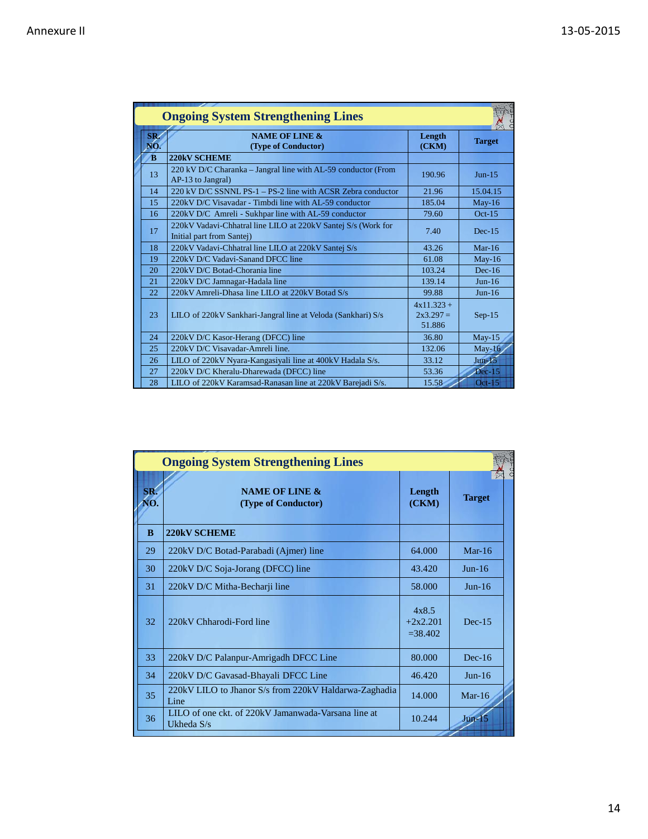|                    | <b>Ongoing System Strengthening Lines</b>                                                  |                                       |               |
|--------------------|--------------------------------------------------------------------------------------------|---------------------------------------|---------------|
| SR/<br>NO.         | <b>NAME OF LINE &amp;</b><br>(Type of Conductor)                                           | Length<br>(CKM)                       | <b>Target</b> |
| $\mathbf{\hat{B}}$ | <b>220kV SCHEME</b>                                                                        |                                       |               |
| 13                 | 220 kV D/C Charanka – Jangral line with AL-59 conductor (From<br>AP-13 to Jangral)         | 190.96                                | $Jun-15$      |
| 14                 | 220 kV D/C SSNNL PS-1 – PS-2 line with ACSR Zebra conductor                                | 21.96                                 | 15.04.15      |
| 15                 | 220kV D/C Visavadar - Timbdi line with AL-59 conductor                                     | 185.04                                | $May-16$      |
| 16                 | 220kV D/C Amreli - Sukhpar line with AL-59 conductor                                       | 79.60                                 | $Oct-15$      |
| 17                 | 220kV Vadavi-Chhatral line LILO at 220kV Santej S/s (Work for<br>Initial part from Santej) | 7.40                                  | $Dec-15$      |
| 18                 | 220kV Vadavi-Chhatral line LILO at 220kV Santej S/s                                        | 43.26                                 | Mar- $16$     |
| 19                 | 220kV D/C Vadavi-Sanand DFCC line                                                          | 61.08                                 | $May-16$      |
| 20                 | 220kV D/C Botad-Chorania line                                                              | 103.24                                | $Dec-16$      |
| 21                 | 220kV D/C Jamnagar-Hadala line                                                             | 139.14                                | $Jun-16$      |
| 22                 | 220kV Amreli-Dhasa line LILO at 220kV Botad S/s                                            | 99.88                                 | $Jun-16$      |
| 23                 | LILO of 220kV Sankhari-Jangral line at Veloda (Sankhari) S/s                               | $4x11.323 +$<br>$2x3.297 =$<br>51.886 | $Sep-15$      |
| 24                 | 220kV D/C Kasor-Herang (DFCC) line                                                         | 36.80                                 | $May-15$      |
| 25                 | 220kV D/C Visavadar-Amreli line.                                                           | 132.06                                | $May-16$      |
| 26                 | LILO of 220kV Nyara-Kangasiyali line at 400kV Hadala S/s.                                  | 33.12                                 | $Jun-15$      |
| 27                 | 220kV D/C Kheralu-Dharewada (DFCC) line                                                    | 53.36                                 | $Dec-15$      |
| 28                 | LILO of 220kV Karamsad-Ranasan line at 220kV Barejadi S/s.                                 | 15.58                                 | $Oct-15$      |

|              | <b>Ongoing System Strengthening Lines</b>                         |                                   |               |
|--------------|-------------------------------------------------------------------|-----------------------------------|---------------|
| SR.          | <b>NAME OF LINE &amp;</b><br>(Type of Conductor)                  | Length<br>(CKM)                   | <b>Target</b> |
| <sup>B</sup> | <b>220kV SCHEME</b>                                               |                                   |               |
| 29           | 220kV D/C Botad-Parabadi (Ajmer) line                             | 64.000                            | $Mar-16$      |
| 30           | 220kV D/C Soja-Jorang (DFCC) line                                 | 43.420                            | $Jun-16$      |
| 31           | 220kV D/C Mitha-Becharji line                                     | 58.000                            | $Jun-16$      |
| 32           | 220kV Chharodi-Ford line                                          | 4x8.5<br>$+2x2.201$<br>$= 38.402$ | $Dec-15$      |
| 33           | 220kV D/C Palanpur-Amrigadh DFCC Line                             | 80.000                            | $Dec-16$      |
| 34           | 220kV D/C Gavasad-Bhayali DFCC Line                               | 46.420                            | $Jun-16$      |
| 35           | 220kV LILO to Jhanor S/s from 220kV Haldarwa-Zaghadia<br>Line     | 14.000                            | Mar- $16$     |
| 36           | LILO of one ckt. of 220kV Jamanwada-Varsana line at<br>Ukheda S/s | 10.244                            | $Jun-15$      |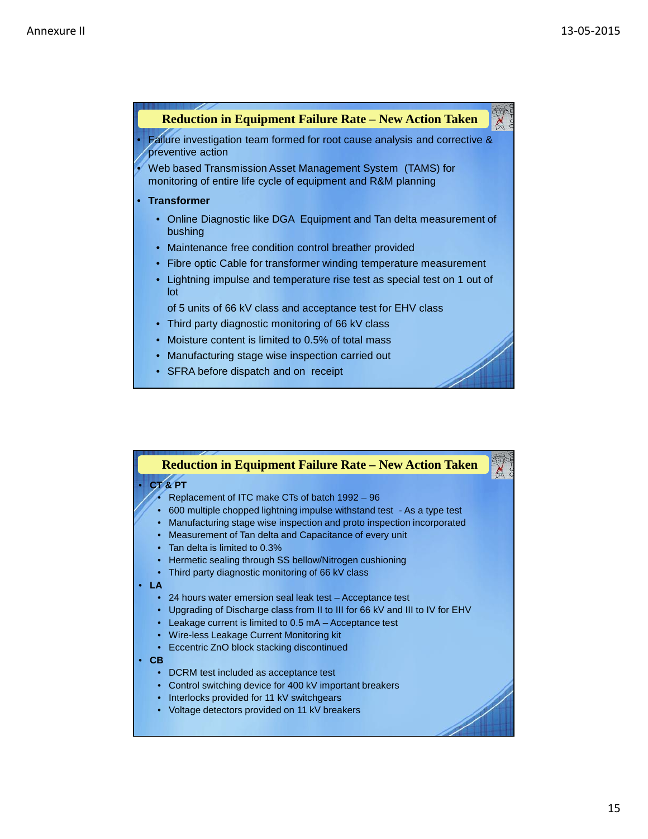

|                                                                                                           | <b>Reduction in Equipment Failure Rate – New Action Taken</b>                                                                                                                                                                                                                                                                                                                                                                                                                                                                                                                                                                                                                                                                                                                                                                                                                                             |  |
|-----------------------------------------------------------------------------------------------------------|-----------------------------------------------------------------------------------------------------------------------------------------------------------------------------------------------------------------------------------------------------------------------------------------------------------------------------------------------------------------------------------------------------------------------------------------------------------------------------------------------------------------------------------------------------------------------------------------------------------------------------------------------------------------------------------------------------------------------------------------------------------------------------------------------------------------------------------------------------------------------------------------------------------|--|
| CT&PT<br>$\bullet$<br>$\bullet$<br>LA<br>$\bullet$<br>$\bullet$<br>$\bullet$<br>CВ<br>$\bullet$<br>٠<br>٠ | Replacement of ITC make CTs of batch 1992 - 96<br>600 multiple chopped lightning impulse withstand test - As a type test<br>Manufacturing stage wise inspection and proto inspection incorporated<br>Measurement of Tan delta and Capacitance of every unit<br>• Tan delta is limited to 0.3%<br>Hermetic sealing through SS bellow/Nitrogen cushioning<br>Third party diagnostic monitoring of 66 kV class<br>24 hours water emersion seal leak test - Acceptance test<br>Upgrading of Discharge class from II to III for 66 kV and III to IV for EHV<br>Leakage current is limited to 0.5 mA - Acceptance test<br>Wire-less Leakage Current Monitoring kit<br>Eccentric ZnO block stacking discontinued<br>DCRM test included as acceptance test<br>Control switching device for 400 kV important breakers<br>Interlocks provided for 11 kV switchgears<br>Voltage detectors provided on 11 kV breakers |  |
|                                                                                                           |                                                                                                                                                                                                                                                                                                                                                                                                                                                                                                                                                                                                                                                                                                                                                                                                                                                                                                           |  |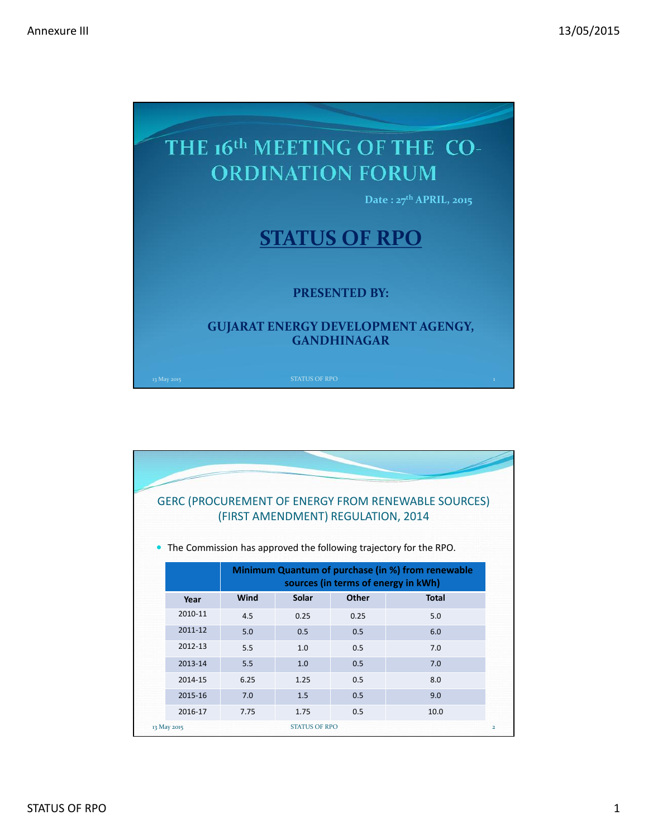

|             |      | (FIRST AMENDMENT) REGULATION, 2014 |              | <b>GERC (PROCUREMENT OF ENERGY FROM RENEWABLE SOURCES)</b><br>The Commission has approved the following trajectory for the RPO. |
|-------------|------|------------------------------------|--------------|---------------------------------------------------------------------------------------------------------------------------------|
|             |      |                                    |              | Minimum Quantum of purchase (in %) from renewable<br>sources (in terms of energy in kWh)                                        |
| Year        | Wind | Solar                              | <b>Other</b> | <b>Total</b>                                                                                                                    |
| 2010-11     | 4.5  | 0.25                               | 0.25         | 5.0                                                                                                                             |
| 2011-12     | 5.0  | 0.5                                | 0.5          | 6.0                                                                                                                             |
| 2012-13     | 5.5  | 1.0                                | 0.5          | 7.0                                                                                                                             |
| 2013-14     | 5.5  | 1.0                                | 0.5          | 7.0                                                                                                                             |
| 2014-15     | 6.25 | 1.25                               | 0.5          | 8.0                                                                                                                             |
| 2015-16     | 7.0  | 1.5                                | 0.5          | 9.0                                                                                                                             |
| 2016-17     | 7.75 | 1.75                               | 0.5          | 10.0                                                                                                                            |
| 13 May 2015 |      | <b>STATUS OF RPO</b>               |              |                                                                                                                                 |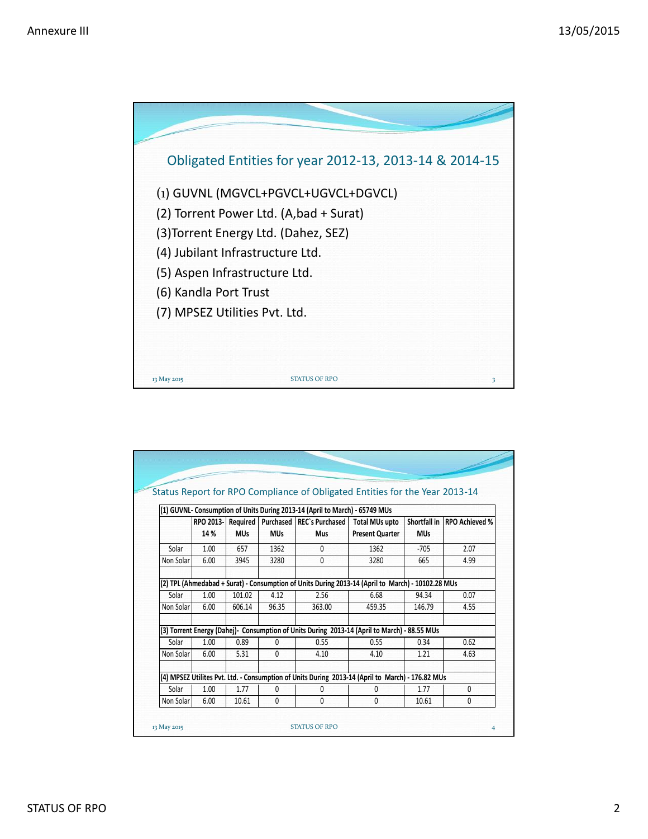

|           |           |            |            |                                                                             | Status Report for RPO Compliance of Obligated Entities for the Year 2013-14                       |            |                               |
|-----------|-----------|------------|------------|-----------------------------------------------------------------------------|---------------------------------------------------------------------------------------------------|------------|-------------------------------|
|           |           |            |            | (1) GUVNL- Consumption of Units During 2013-14 (April to March) - 65749 MUs |                                                                                                   |            |                               |
|           | RPO 2013- | Required   |            | Purchased   REC's Purchased                                                 | <b>Total MUs upto</b>                                                                             |            | Shortfall in   RPO Achieved % |
|           | 14 %      | <b>MUs</b> | <b>MUs</b> | <b>Mus</b>                                                                  | <b>Present Quarter</b>                                                                            | <b>MUs</b> |                               |
| Solar     | 1.00      | 657        | 1362       | $\mathbf{0}$                                                                | 1362                                                                                              | $-705$     | 2.07                          |
| Non Solar | 6.00      | 3945       | 3280       | $\mathbf{0}$                                                                | 3280                                                                                              | 665        | 4.99                          |
|           |           |            |            |                                                                             | (2) TPL (Ahmedabad + Surat) - Consumption of Units During 2013-14 (April to March) - 10102.28 MUs |            |                               |
| Solar     | 1.00      | 101.02     | 4.12       | 2.56                                                                        | 6.68                                                                                              | 94.34      | 0.07                          |
| Non Solar | 6.00      | 606.14     | 96.35      | 363.00                                                                      | 459.35                                                                                            | 146.79     | 4.55                          |
|           |           |            |            |                                                                             | (3) Torrent Energy (Dahej)- Consumption of Units During 2013-14 (April to March) - 88.55 MUs      |            |                               |
| Solar     | 1.00      | 0.89       | 0          | 0.55                                                                        | 0.55                                                                                              | 0.34       | 0.62                          |
| Non Solar | 6.00      | 5.31       | 0          | 4.10                                                                        | 4.10                                                                                              | 1.21       | 4.63                          |
|           |           |            |            |                                                                             | (4) MPSEZ Utilites Pvt. Ltd. - Consumption of Units During 2013-14 (April to March) - 176.82 MUs  |            |                               |
| Solar     | 1.00      | 1.77       | 0          | $\Omega$                                                                    | 0                                                                                                 | 1.77       | $\mathbf{0}$                  |
| Non Solar | 6.00      | 10.61      | 0          | $\mathbf{0}$                                                                | 0                                                                                                 | 10.61      | $\mathbf{0}$                  |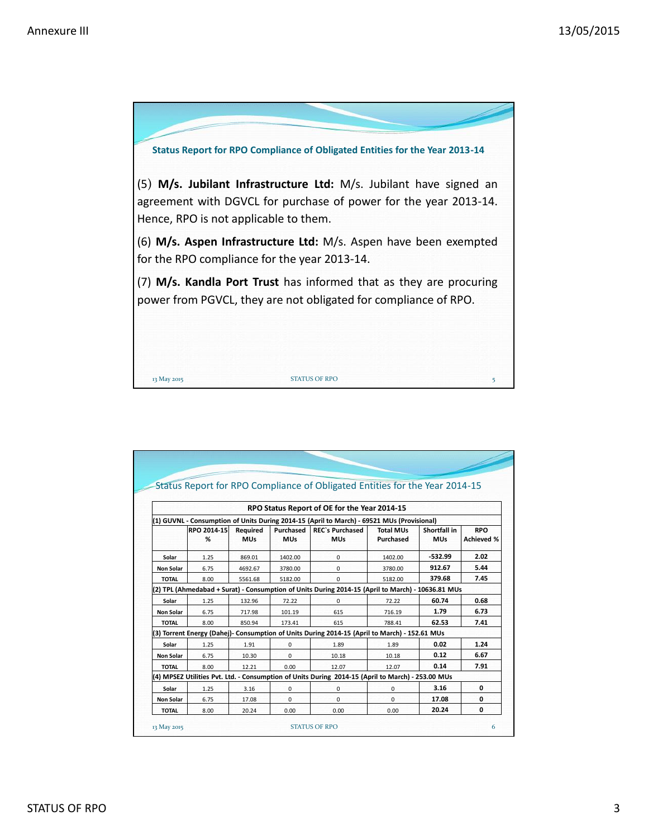

|                  |                  |                        |                         | Status Report for RPO Compliance of Obligated Entities for the Year 2014-15                       |                               |                            |                                 |
|------------------|------------------|------------------------|-------------------------|---------------------------------------------------------------------------------------------------|-------------------------------|----------------------------|---------------------------------|
|                  |                  |                        |                         |                                                                                                   |                               |                            |                                 |
|                  |                  |                        |                         | RPO Status Report of OE for the Year 2014-15                                                      |                               |                            |                                 |
|                  |                  |                        |                         | (1) GUVNL - Consumption of Units During 2014-15 (April to March) - 69521 MUs (Provisional)        |                               |                            |                                 |
|                  | RPO 2014-15<br>% | Required<br><b>MUs</b> | Purchased<br><b>MUs</b> | <b>REC's Purchased</b><br><b>MUs</b>                                                              | <b>Total MUs</b><br>Purchased | Shortfall in<br><b>MUs</b> | <b>RPO</b><br><b>Achieved %</b> |
| Solar            | 1.25             | 869.01                 | 1402.00                 | 0                                                                                                 | 1402.00                       | $-532.99$                  | 2.02                            |
| <b>Non Solar</b> | 6.75             | 4692.67                | 3780.00                 | $\Omega$                                                                                          | 3780.00                       | 912.67                     | 5.44                            |
| <b>TOTAL</b>     | 8.00             | 5561.68                | 5182.00                 | $\Omega$                                                                                          | 5182.00                       | 379.68                     | 7.45                            |
|                  |                  |                        |                         | (2) TPL (Ahmedabad + Surat) - Consumption of Units During 2014-15 (April to March) - 10636.81 MUs |                               |                            |                                 |
| Solar            | 1.25             | 132.96                 | 72.22                   | $\Omega$                                                                                          | 72.22                         | 60.74                      | 0.68                            |
| <b>Non Solar</b> | 6.75             | 717.98                 | 101.19                  | 615                                                                                               | 716.19                        | 1.79                       | 6.73                            |
| <b>TOTAL</b>     | 8.00             | 850.94                 | 173.41                  | 615                                                                                               | 788.41                        | 62.53                      | 7.41                            |
|                  |                  |                        |                         | (3) Torrent Energy (Dahej)- Consumption of Units During 2014-15 (April to March) - 152.61 MUs     |                               |                            |                                 |
| Solar            | 1.25             | 1.91                   | 0                       | 1.89                                                                                              | 1.89                          | 0.02                       | 1.24                            |
| <b>Non Solar</b> | 6.75             | 10.30                  | 0                       | 10.18                                                                                             | 10.18                         | 0.12                       | 6.67                            |
| <b>TOTAL</b>     | 8.00             | 12.21                  | 0.00                    | 12.07                                                                                             | 12.07                         | 0.14                       | 7.91                            |
|                  |                  |                        |                         | (4) MPSEZ Utilities Pvt. Ltd. - Consumption of Units During 2014-15 (April to March) - 253.00 MUs |                               |                            |                                 |
| Solar            | 1.25             | 3.16                   | 0                       | 0                                                                                                 | 0                             | 3.16                       | 0                               |
| <b>Non Solar</b> | 6.75             | 17.08                  | 0                       | $\Omega$                                                                                          | $\Omega$                      | 17.08                      | 0                               |
| <b>TOTAL</b>     | 8.00             | 20.24                  | 0.00                    | 0.00                                                                                              | 0.00                          | 20.24                      | $\mathbf 0$                     |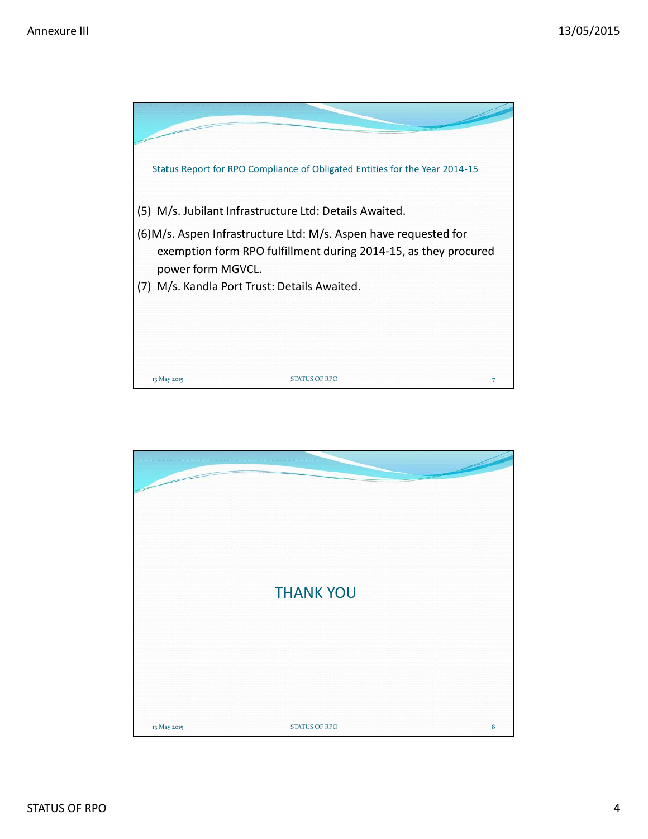

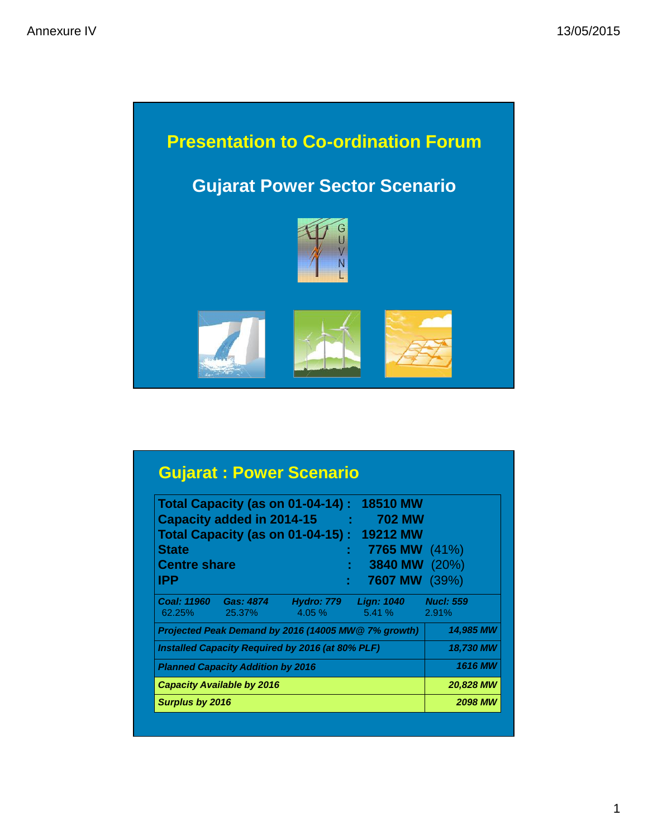

|                              |                                          |                                                  | <b>Total Capacity (as on 01-04-14): 18510 MW</b>    |                           |
|------------------------------|------------------------------------------|--------------------------------------------------|-----------------------------------------------------|---------------------------|
|                              | Capacity added in 2014-15                | <b>Contract Contract</b>                         | <b>702 MW</b>                                       |                           |
|                              |                                          |                                                  | <b>Total Capacity (as on 01-04-15): 19212 MW</b>    |                           |
| <b>State</b>                 |                                          |                                                  | <b>7765 MW</b> (41%)                                |                           |
| <b>Centre share</b>          |                                          |                                                  | 3840 MW (20%)                                       |                           |
| IPP                          |                                          | ÷                                                | <b>7607 MW</b> (39%)                                |                           |
| <b>Coal: 11960</b><br>62.25% | Gas: 4874<br>25.37%                      | $4.05\%$                                         | Hydro: 779    Lign: 1040<br>$5.41\%$                | <b>Nucl: 559</b><br>2.91% |
|                              |                                          |                                                  | Projected Peak Demand by 2016 (14005 MW@ 7% growth) | 14,985 MW                 |
|                              |                                          | Installed Capacity Required by 2016 (at 80% PLF) |                                                     | 18,730 MW                 |
|                              | <b>Planned Capacity Addition by 2016</b> |                                                  |                                                     | <b>1616 MW</b>            |
|                              | <b>Capacity Available by 2016</b>        |                                                  |                                                     | <b>20,828 MW</b>          |
| <b>Surplus by 2016</b>       |                                          |                                                  |                                                     | <b>2098 MW</b>            |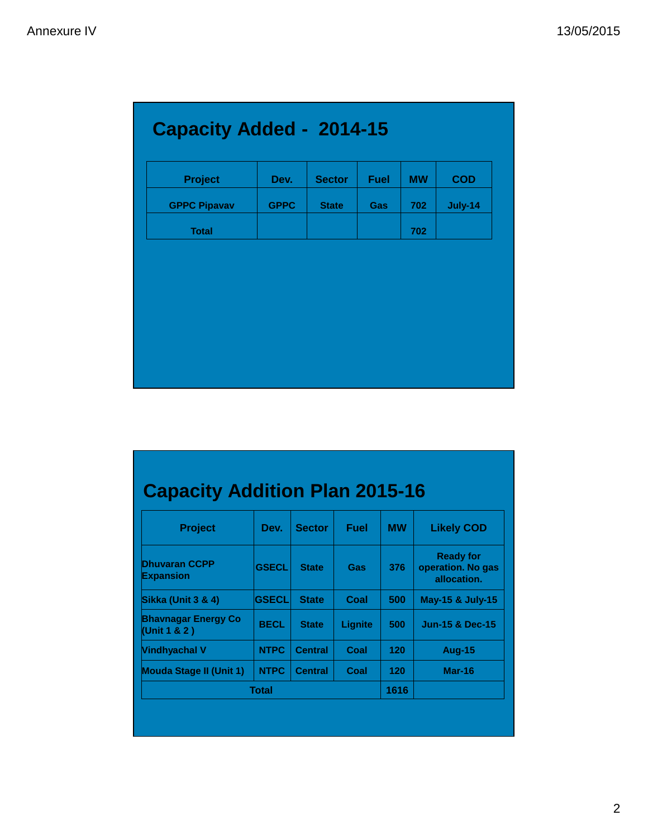| <b>Capacity Added - 2014-15</b> |             |               |             |           |            |
|---------------------------------|-------------|---------------|-------------|-----------|------------|
| <b>Project</b>                  | Dev.        | <b>Sector</b> | <b>Fuel</b> | <b>MW</b> | <b>COD</b> |
| <b>GPPC Pipavav</b>             | <b>GPPC</b> | <b>State</b>  | Gas         | 702       | July-14    |
| <b>Total</b>                    |             |               |             | 702       |            |

# **Capacity Addition Plan 2015-16**

| <b>Project</b>                              | Dev.         | <b>Sector</b>  | <b>Fuel</b> | <b>MW</b> | <b>Likely COD</b>                                    |
|---------------------------------------------|--------------|----------------|-------------|-----------|------------------------------------------------------|
| <b>Dhuvaran CCPP</b><br><b>Expansion</b>    | <b>GSECL</b> | <b>State</b>   | Gas         | 376       | <b>Ready for</b><br>operation. No gas<br>allocation. |
| Sikka (Unit 3 & 4)                          | <b>GSECL</b> | <b>State</b>   | Coal        | 500       | May-15 & July-15                                     |
| <b>Bhavnagar Energy Co</b><br>(Unit 1 & 2 ) | <b>BECL</b>  | <b>State</b>   | Lignite     | 500       | <b>Jun-15 &amp; Dec-15</b>                           |
| <b>Vindhyachal V</b>                        | <b>NTPC</b>  | <b>Central</b> | Coal        | 120       | <b>Aug-15</b>                                        |
| <b>Mouda Stage II (Unit 1)</b>              | <b>NTPC</b>  | <b>Central</b> | Coal        | 120       | Mar-16                                               |
|                                             | <b>Total</b> |                |             | 1616      |                                                      |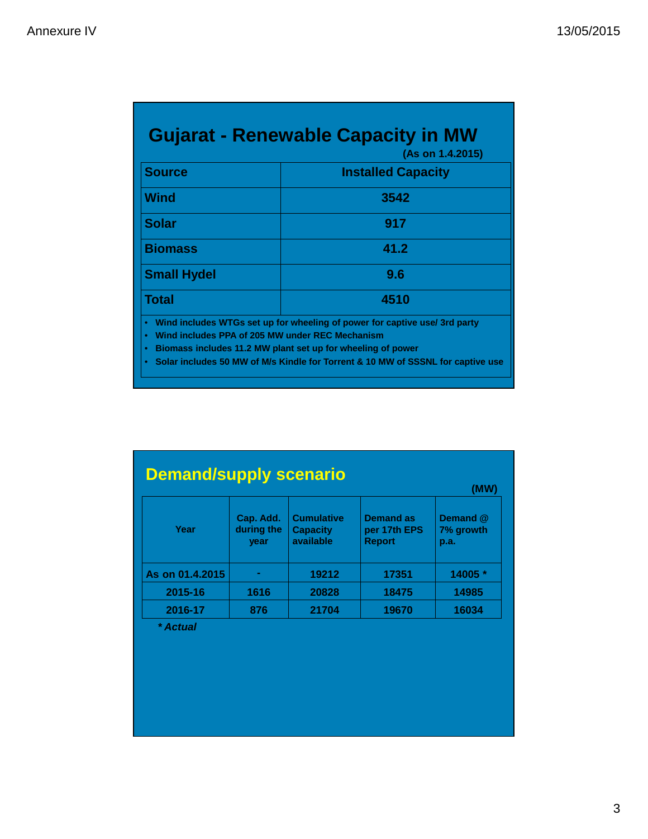| <b>Gujarat - Renewable Capacity in MW</b><br>(As on 1.4.2015)                               |                                                                                                                                                                                                                              |  |  |  |  |
|---------------------------------------------------------------------------------------------|------------------------------------------------------------------------------------------------------------------------------------------------------------------------------------------------------------------------------|--|--|--|--|
| <b>Source</b>                                                                               | <b>Installed Capacity</b>                                                                                                                                                                                                    |  |  |  |  |
| <b>Wind</b>                                                                                 | 3542                                                                                                                                                                                                                         |  |  |  |  |
| <b>Solar</b>                                                                                | 917                                                                                                                                                                                                                          |  |  |  |  |
| <b>Biomass</b>                                                                              | 41.2                                                                                                                                                                                                                         |  |  |  |  |
| <b>Small Hydel</b>                                                                          | 9.6                                                                                                                                                                                                                          |  |  |  |  |
| <b>Total</b>                                                                                | 4510                                                                                                                                                                                                                         |  |  |  |  |
| $\bullet$<br>Wind includes PPA of 205 MW under REC Mechanism<br>$\bullet$<br>$\bullet$<br>۰ | Wind includes WTGs set up for wheeling of power for captive use/ 3rd party<br>Biomass includes 11.2 MW plant set up for wheeling of power<br>Solar includes 50 MW of M/s Kindle for Torrent & 10 MW of SSSNL for captive use |  |  |  |  |

|                 |                                 | (MW)                                              |                                                   |                               |
|-----------------|---------------------------------|---------------------------------------------------|---------------------------------------------------|-------------------------------|
| Year            | Cap. Add.<br>during the<br>year | <b>Cumulative</b><br><b>Capacity</b><br>available | <b>Demand as</b><br>per 17th EPS<br><b>Report</b> | Demand @<br>7% growth<br>p.a. |
| As on 01.4.2015 |                                 | 19212                                             | 17351                                             | 14005 *                       |
| 2015-16         | 1616                            | 20828                                             | 18475                                             | 14985                         |
| 2016-17         | 876                             | 21704                                             | 19670                                             | 16034                         |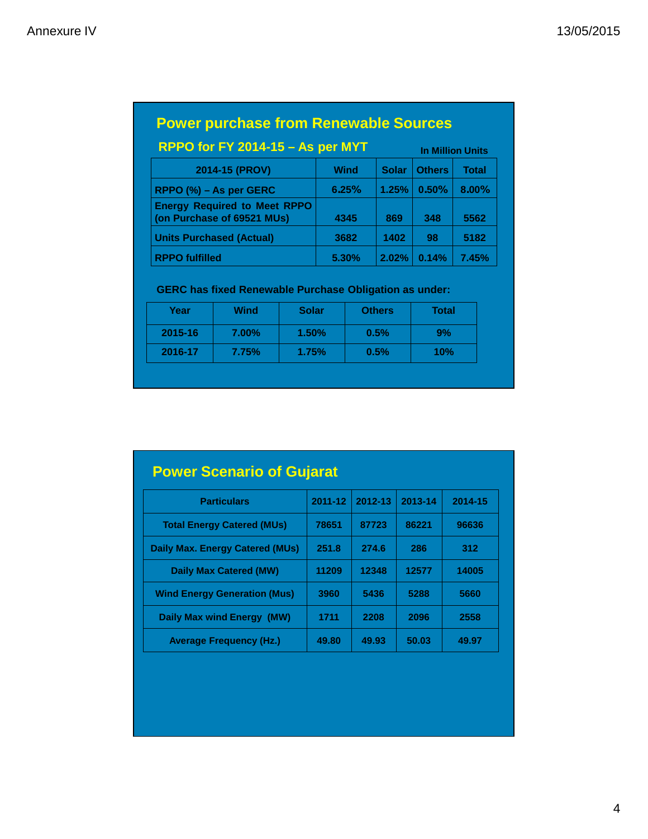| <b>Power purchase from Renewable Sources</b>                      |                         |              |               |              |
|-------------------------------------------------------------------|-------------------------|--------------|---------------|--------------|
| RPPO for FY 2014-15 - As per MYT                                  | <b>In Million Units</b> |              |               |              |
| 2014-15 (PROV)                                                    | <b>Wind</b>             | <b>Solar</b> | <b>Others</b> | <b>Total</b> |
| RPPO $(\%)$ – As per GERC                                         | 6.25%                   | 1.25%        | 0.50%         | 8.00%        |
| <b>Energy Required to Meet RPPO</b><br>(on Purchase of 69521 MUs) | 4345                    | 869          | 348           | 5562         |
| <b>Units Purchased (Actual)</b>                                   | 3682                    | 1402         | 98            | 5182         |
| <b>RPPO fulfilled</b>                                             | 5.30%                   | 2.02%        | 0.14%         | 7.45%        |

## **GERC has fixed Renewable Purchase Obligation as under:**

| Year    | Wind     | <b>Solar</b> | <b>Others</b> | Total |
|---------|----------|--------------|---------------|-------|
| 2015-16 | $7.00\%$ | 1.50%        | 0.5%          | 9%    |
| 2016-17 | 7.75%    | 1.75%        | 0.5%          | 10%   |

| <b>Power Scenario of Gujarat</b>    |         |         |         |         |
|-------------------------------------|---------|---------|---------|---------|
| <b>Particulars</b>                  | 2011-12 | 2012-13 | 2013-14 | 2014-15 |
| <b>Total Energy Catered (MUs)</b>   | 78651   | 87723   | 86221   | 96636   |
| Daily Max. Energy Catered (MUs)     | 251.8   | 274.6   | 286     | 312     |
| Daily Max Catered (MW)              | 11209   | 12348   | 12577   | 14005   |
| <b>Wind Energy Generation (Mus)</b> | 3960    | 5436    | 5288    | 5660    |
| Daily Max wind Energy (MW)          | 1711    | 2208    | 2096    | 2558    |
| <b>Average Frequency (Hz.)</b>      | 49.80   | 49.93   | 50.03   | 49.97   |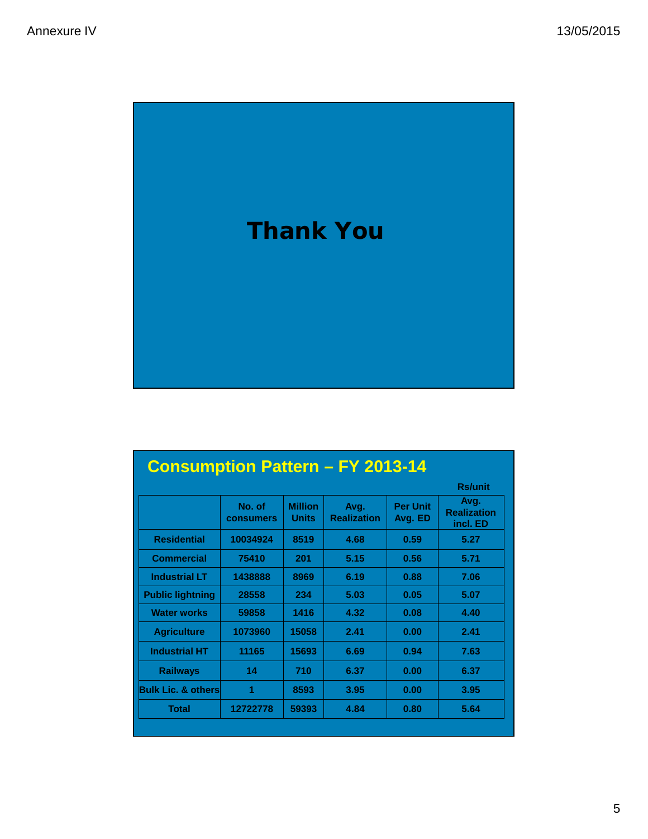

|                         | <b>Rs/unit</b>             |                         |                            |                            |                                        |
|-------------------------|----------------------------|-------------------------|----------------------------|----------------------------|----------------------------------------|
|                         | No. of<br><b>consumers</b> | <b>Million</b><br>Units | Avg.<br><b>Realization</b> | <b>Per Unit</b><br>Avg. ED | Avg.<br><b>Realization</b><br>incl. ED |
| <b>Residential</b>      | 10034924                   | 8519                    | 4.68                       | 0.59                       | 5.27                                   |
| <b>Commercial</b>       | 75410                      | 201                     | 5.15                       | 0.56                       | 5.71                                   |
| <b>Industrial LT</b>    | 1438888                    | 8969                    | 6.19                       | 0.88                       | 7.06                                   |
| <b>Public lightning</b> | 28558                      | 234                     | 5.03                       | 0.05                       | 5.07                                   |
| <b>Water works</b>      | 59858                      | 1416                    | 4.32                       | 0.08                       | 4.40                                   |
| <b>Agriculture</b>      | 1073960                    | 15058                   | 2.41                       | 0.00                       | 2.41                                   |
| <b>Industrial HT</b>    | 11165                      | 15693                   | 6.69                       | 0.94                       | 7.63                                   |
| <b>Railways</b>         | 14                         | 710                     | 6.37                       | 0.00                       | 6.37                                   |
| Bulk Lic. & others      | 1                          | 8593                    | 3.95                       | 0.00                       | 3.95                                   |
| <b>Total</b>            | 12722778                   | 59393                   | 4.84                       | 0.80                       | 5.64                                   |